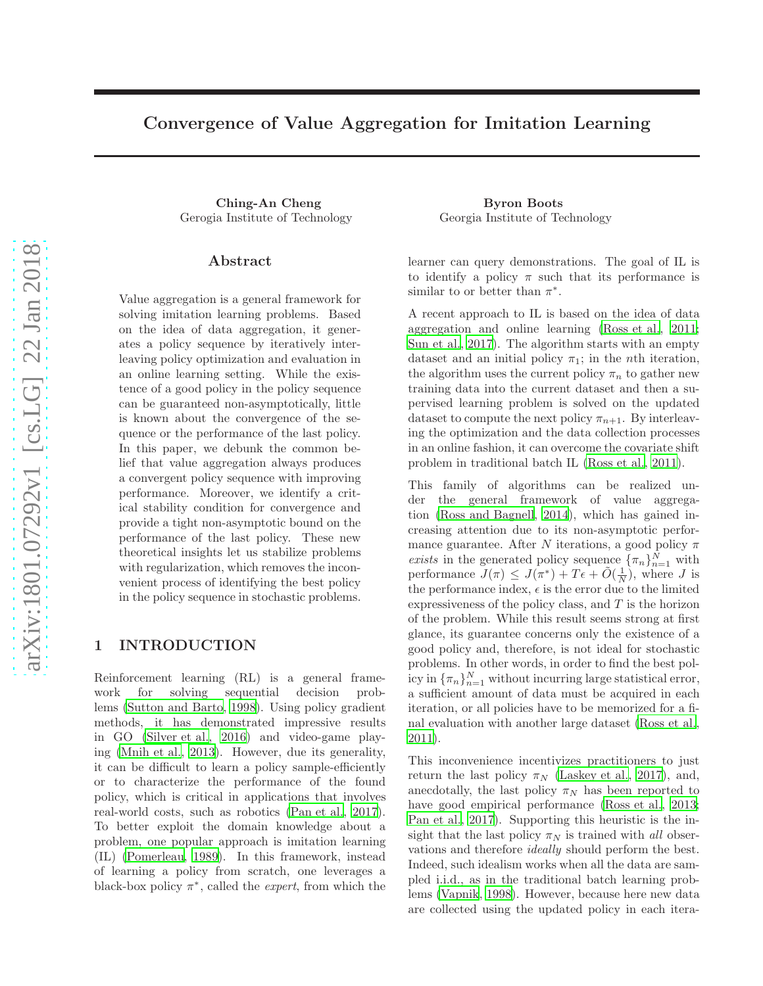# Convergence of Value Aggregation for Imitation Learning

Ching-An Cheng Byron Boots

### Abstract

Value aggregation is a general framework for solving imitation learning problems. Based on the idea of data aggregation, it generates a policy sequence by iteratively interleaving policy optimization and evaluation in an online learning setting. While the existence of a good policy in the policy sequence can be guaranteed non-asymptotically, little is known about the convergence of the sequence or the performance of the last policy. In this paper, we debunk the common belief that value aggregation always produces a convergent policy sequence with improving performance. Moreover, we identify a critical stability condition for convergence and provide a tight non-asymptotic bound on the performance of the last policy. These new theoretical insights let us stabilize problems with regularization, which removes the inconvenient process of identifying the best policy in the policy sequence in stochastic problems.

### 1 INTRODUCTION

Reinforcement learning (RL) is a general framework for solving sequential decision problems [\(Sutton and Barto](#page-8-0), [1998](#page-8-0)). Using policy gradient methods, it has demonstrated impressive results in GO [\(Silver et al., 2016\)](#page-8-1) and video-game playing [\(Mnih et al.](#page-8-2), [2013\)](#page-8-2). However, due its generality, it can be difficult to learn a policy sample-efficiently or to characterize the performance of the found policy, which is critical in applications that involves real-world costs, such as robotics [\(Pan et al., 2017\)](#page-8-3). To better exploit the domain knowledge about a problem, one popular approach is imitation learning (IL) [\(Pomerleau, 1989\)](#page-8-4). In this framework, instead of learning a policy from scratch, one leverages a black-box policy  $\pi^*$ , called the *expert*, from which the

Gerogia Institute of Technology Georgia Institute of Technology

learner can query demonstrations. The goal of IL is to identify a policy  $\pi$  such that its performance is similar to or better than  $\pi^*$ .

A recent approach to IL is based on the idea of data aggregation and online learning [\(Ross et al., 2011;](#page-8-5) [Sun et al., 2017\)](#page-8-6). The algorithm starts with an empty dataset and an initial policy  $\pi_1$ ; in the *n*th iteration, the algorithm uses the current policy  $\pi_n$  to gather new training data into the current dataset and then a supervised learning problem is solved on the updated dataset to compute the next policy  $\pi_{n+1}$ . By interleaving the optimization and the data collection processes in an online fashion, it can overcome the covariate shift problem in traditional batch IL [\(Ross et al.](#page-8-5), [2011\)](#page-8-5).

This family of algorithms can be realized under the general framework of value aggregation [\(Ross and Bagnell, 2014](#page-8-7)), which has gained increasing attention due to its non-asymptotic performance guarantee. After N iterations, a good policy  $\pi$ exists in the generated policy sequence  $\{\pi_n\}_{n=1}^N$  with performance  $J(\pi) \leq J(\pi^*) + T\epsilon + \tilde{O}(\frac{1}{N})$ , where J is the performance index,  $\epsilon$  is the error due to the limited expressiveness of the policy class, and  $T$  is the horizon of the problem. While this result seems strong at first glance, its guarantee concerns only the existence of a good policy and, therefore, is not ideal for stochastic problems. In other words, in order to find the best policy in  ${\lbrace \pi_n \rbrace}_{n=1}^N$  without incurring large statistical error, a sufficient amount of data must be acquired in each iteration, or all policies have to be memorized for a final evaluation with another large dataset [\(Ross et al.,](#page-8-5) [2011\)](#page-8-5).

This inconvenience incentivizes practitioners to just return the last policy  $\pi_N$  [\(Laskey et al.](#page-8-8), [2017\)](#page-8-8), and, anecdotally, the last policy  $\pi_N$  has been reported to have good empirical performance [\(Ross et al.](#page-8-9), [2013;](#page-8-9) [Pan et al.](#page-8-3), [2017\)](#page-8-3). Supporting this heuristic is the insight that the last policy  $\pi_N$  is trained with all observations and therefore ideally should perform the best. Indeed, such idealism works when all the data are sampled i.i.d., as in the traditional batch learning problems [\(Vapnik, 1998\)](#page-8-10). However, because here new data are collected using the updated policy in each itera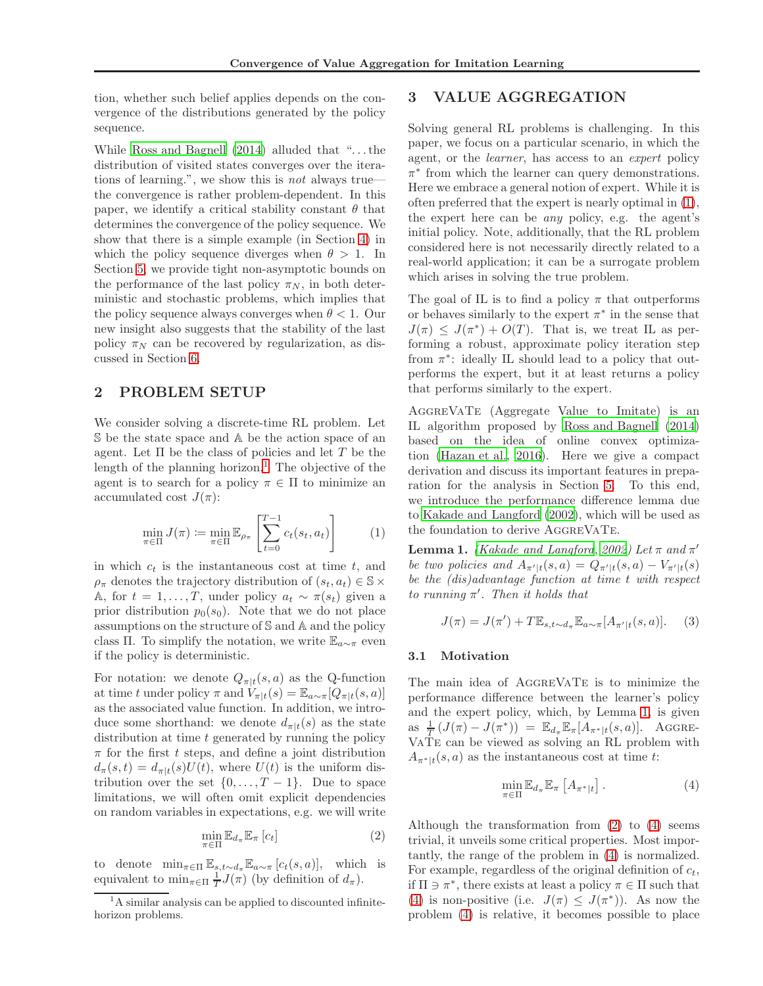tion, whether such belief applies depends on the convergence of the distributions generated by the policy sequence.

While [Ross and Bagnell \(2014\)](#page-8-7) alluded that ". . . the distribution of visited states converges over the iterations of learning.", we show this is not always true the convergence is rather problem-dependent. In this paper, we identify a critical stability constant  $\theta$  that determines the convergence of the policy sequence. We show that there is a simple example (in Section [4\)](#page-2-0) in which the policy sequence diverges when  $\theta > 1$ . In Section [5,](#page-3-0) we provide tight non-asymptotic bounds on the performance of the last policy  $\pi_N$ , in both deterministic and stochastic problems, which implies that the policy sequence always converges when  $\theta$  < 1. Our new insight also suggests that the stability of the last policy  $\pi_N$  can be recovered by regularization, as discussed in Section [6.](#page-6-0)

## 2 PROBLEM SETUP

We consider solving a discrete-time RL problem. Let S be the state space and A be the action space of an agent. Let  $\Pi$  be the class of policies and let  $T$  be the length of the planning horizon.<sup>[1](#page-1-0)</sup> The objective of the agent is to search for a policy  $\pi \in \Pi$  to minimize an accumulated cost  $J(\pi)$ :

$$
\min_{\pi \in \Pi} J(\pi) \coloneqq \min_{\pi \in \Pi} \mathbb{E}_{\rho_{\pi}} \left[ \sum_{t=0}^{T-1} c_t(s_t, a_t) \right] \tag{1}
$$

in which  $c_t$  is the instantaneous cost at time  $t$ , and  $\rho_{\pi}$  denotes the trajectory distribution of  $(s_t, a_t) \in \mathbb{S} \times$ A, for  $t = 1, ..., T$ , under policy  $a_t \sim \pi(s_t)$  given a prior distribution  $p_0(s_0)$ . Note that we do not place assumptions on the structure of S and A and the policy class Π. To simplify the notation, we write  $\mathbb{E}_{a\sim\pi}$  even if the policy is deterministic.

For notation: we denote  $Q_{\pi|t}(s, a)$  as the Q-function at time t under policy  $\pi$  and  $V_{\pi|t}(s) = \mathbb{E}_{a \sim \pi}[Q_{\pi|t}(s, a)]$ as the associated value function. In addition, we introduce some shorthand: we denote  $d_{\pi|t}(s)$  as the state distribution at time  $t$  generated by running the policy  $\pi$  for the first t steps, and define a joint distribution  $d_{\pi}(s,t) = d_{\pi|t}(s)U(t)$ , where  $U(t)$  is the uniform distribution over the set  $\{0, \ldots, T-1\}$ . Due to space limitations, we will often omit explicit dependencies on random variables in expectations, e.g. we will write

$$
\min_{\pi \in \Pi} \mathbb{E}_{d_{\pi}} \mathbb{E}_{\pi} [c_t]
$$
\n(2)

to denote  $\min_{\pi \in \Pi} \mathbb{E}_{s,t \sim d_{\pi}} \mathbb{E}_{a \sim \pi} [c_t(s,a)]$ , which is equivalent to  $\min_{\pi \in \Pi} \frac{1}{T} J(\pi)$  (by definition of  $d_{\pi}$ ).

## <span id="page-1-5"></span>3 VALUE AGGREGATION

Solving general RL problems is challenging. In this paper, we focus on a particular scenario, in which the agent, or the learner, has access to an expert policy  $\pi^*$  from which the learner can query demonstrations. Here we embrace a general notion of expert. While it is often preferred that the expert is nearly optimal in [\(1\)](#page-1-1), the expert here can be any policy, e.g. the agent's initial policy. Note, additionally, that the RL problem considered here is not necessarily directly related to a real-world application; it can be a surrogate problem which arises in solving the true problem.

The goal of IL is to find a policy  $\pi$  that outperforms or behaves similarly to the expert  $\pi^*$  in the sense that  $J(\pi) \leq J(\pi^*) + O(T)$ . That is, we treat IL as performing a robust, approximate policy iteration step from  $\pi^*$ : ideally IL should lead to a policy that outperforms the expert, but it at least returns a policy that performs similarly to the expert.

AggreVaTe (Aggregate Value to Imitate) is an IL algorithm proposed by [Ross and Bagnell \(2014\)](#page-8-7) based on the idea of online convex optimization [\(Hazan et al., 2016\)](#page-8-11). Here we give a compact derivation and discuss its important features in preparation for the analysis in Section [5.](#page-3-0) To this end, we introduce the performance difference lemma due to [Kakade and Langford \(2002\)](#page-8-12), which will be used as the foundation to derive AGGREVATE.

<span id="page-1-2"></span><span id="page-1-1"></span>**Lemma 1.** [\(Kakade and Langford, 2002\)](#page-8-12) Let  $\pi$  and  $\pi'$ be two policies and  $A_{\pi' \mid t}(s, a) = Q_{\pi' \mid t}(s, a) - V_{\pi' \mid t}(s)$ be the (dis)advantage function at time t with respect to running  $\pi'$ . Then it holds that

$$
J(\pi) = J(\pi') + T \mathbb{E}_{s, t \sim d_{\pi}} \mathbb{E}_{a \sim \pi}[A_{\pi'|t}(s, a)].
$$
 (3)

#### 3.1 Motivation

The main idea of AGGREVATE is to minimize the performance difference between the learner's policy and the expert policy, which, by Lemma [1,](#page-1-2) is given as  $\frac{1}{T}(J(\pi) - J(\pi^*)) = \mathbb{E}_{d_{\pi}} \mathbb{E}_{\pi}[A_{\pi^* | t}(s, a)].$  Aggre-VaTe can be viewed as solving an RL problem with  $A_{\pi^*|t}(s, a)$  as the instantaneous cost at time t:

<span id="page-1-4"></span>
$$
\min_{\pi \in \Pi} \mathbb{E}_{d_{\pi}} \mathbb{E}_{\pi} \left[ A_{\pi^*|t} \right]. \tag{4}
$$

<span id="page-1-3"></span>Although the transformation from [\(2\)](#page-1-3) to [\(4\)](#page-1-4) seems trivial, it unveils some critical properties. Most importantly, the range of the problem in [\(4\)](#page-1-4) is normalized. For example, regardless of the original definition of  $c_t$ , if  $\Pi \ni \pi^*$ , there exists at least a policy  $\pi \in \Pi$  such that [\(4\)](#page-1-4) is non-positive (i.e.  $J(\pi) \leq J(\pi^*)$ ). As now the problem [\(4\)](#page-1-4) is relative, it becomes possible to place

<span id="page-1-0"></span><sup>&</sup>lt;sup>1</sup>A similar analysis can be applied to discounted infinitehorizon problems.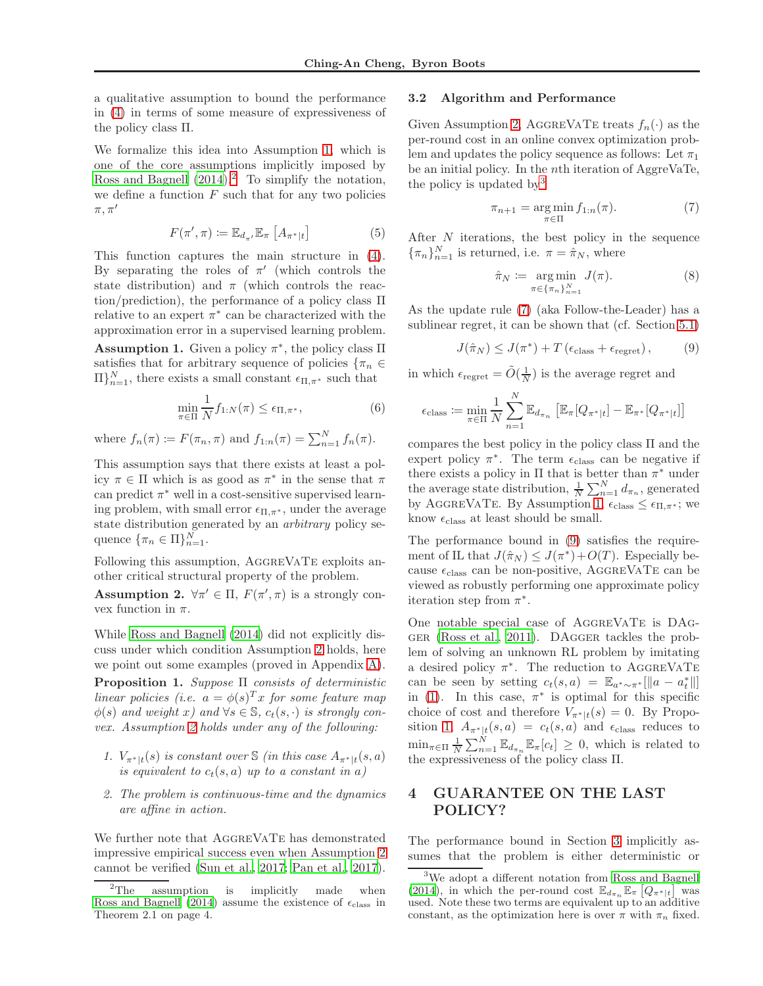a qualitative assumption to bound the performance in [\(4\)](#page-1-4) in terms of some measure of expressiveness of the policy class Π.

We formalize this idea into Assumption [1,](#page-2-1) which is one of the core assumptions implicitly imposed by Ross and Bagnell  $(2014).^2$  $(2014).^2$  $(2014).^2$  To simplify the notation, we define a function  $F$  such that for any two policies  $\pi, \pi'$ 

$$
F(\pi', \pi) \coloneqq \mathbb{E}_{d_{\pi'}} \mathbb{E}_{\pi} \left[ A_{\pi^* | t} \right] \tag{5}
$$

This function captures the main structure in [\(4\)](#page-1-4). By separating the roles of  $\pi'$  (which controls the state distribution) and  $\pi$  (which controls the reaction/prediction), the performance of a policy class Π relative to an expert  $\pi^*$  can be characterized with the approximation error in a supervised learning problem.

<span id="page-2-1"></span>**Assumption 1.** Given a policy  $\pi^*$ , the policy class  $\Pi$ satisfies that for arbitrary sequence of policies  $\{\pi_n \in$  $\prod_{n=1}^{N}$ , there exists a small constant  $\epsilon_{\Pi,\pi^*}$  such that

$$
\min_{\pi \in \Pi} \frac{1}{N} f_{1:N}(\pi) \le \epsilon_{\Pi, \pi^*},\tag{6}
$$

where  $f_n(\pi) \coloneqq F(\pi_n, \pi)$  and  $f_{1:n}(\pi) = \sum_{n=1}^{N} f_n(\pi)$ .

This assumption says that there exists at least a policy  $\pi \in \Pi$  which is as good as  $\pi^*$  in the sense that  $\pi$ can predict  $\pi^*$  well in a cost-sensitive supervised learning problem, with small error  $\epsilon_{\Pi,\pi^*}$ , under the average state distribution generated by an arbitrary policy sequence  $\{\pi_n \in \Pi\}_{n=1}^N$ .

Following this assumption, AGGREVATE exploits another critical structural property of the problem.

<span id="page-2-3"></span>**Assumption 2.**  $\forall \pi' \in \Pi$ ,  $F(\pi', \pi)$  is a strongly convex function in  $\pi$ .

While [Ross and Bagnell \(2014\)](#page-8-7) did not explicitly discuss under which condition Assumption [2](#page-2-3) holds, here we point out some examples (proved in Appendix [A\)](#page-9-0).

<span id="page-2-7"></span>**Proposition 1.** Suppose  $\Pi$  consists of deterministic linear policies (i.e.  $a = \phi(s)^T x$  for some feature map  $\phi(s)$  and weight x) and  $\forall s \in \mathbb{S}$ ,  $c_t(s, \cdot)$  is strongly convex. Assumption [2](#page-2-3) holds under any of the following:

- 1.  $V_{\pi^*|t}(s)$  is constant over  $\Im$  (in this case  $A_{\pi^*|t}(s,a)$ ) is equivalent to  $c_t(s, a)$  up to a constant in a)
- 2. The problem is continuous-time and the dynamics are affine in action.

We further note that AGGREVATE has demonstrated impressive empirical success even when Assumption [2](#page-2-3) cannot be verified [\(Sun et al., 2017;](#page-8-6) [Pan et al., 2017\)](#page-8-3).

#### 3.2 Algorithm and Performance

Given Assumption [2,](#page-2-3) AGGREVATE treats  $f_n(\cdot)$  as the per-round cost in an online convex optimization problem and updates the policy sequence as follows: Let  $\pi_1$ be an initial policy. In the nth iteration of AggreVaTe, the policy is updated by[3](#page-2-4)

<span id="page-2-5"></span>
$$
\pi_{n+1} = \underset{\pi \in \Pi}{\arg \min} f_{1:n}(\pi). \tag{7}
$$

<span id="page-2-8"></span>After N iterations, the best policy in the sequence  ${\lbrace \pi_n \rbrace_{n=1}^N}$  is returned, i.e.  $\pi = \hat{\pi}_N$ , where

<span id="page-2-9"></span><span id="page-2-6"></span>
$$
\hat{\pi}_N := \underset{\pi \in \{\pi_n\}_{n=1}^N}{\arg \min} J(\pi). \tag{8}
$$

As the update rule [\(7\)](#page-2-5) (aka Follow-the-Leader) has a sublinear regret, it can be shown that (cf. Section [5.1\)](#page-3-1)

$$
J(\hat{\pi}_N) \le J(\pi^*) + T(\epsilon_{\text{class}} + \epsilon_{\text{regret}}), \tag{9}
$$

in which  $\epsilon_{\text{regret}} = \tilde{O}(\frac{1}{N})$  is the average regret and

$$
\epsilon_{\text{class}} := \min_{\pi \in \Pi} \frac{1}{N} \sum_{n=1}^{N} \mathbb{E}_{d_{\pi_n}} \left[ \mathbb{E}_{\pi} [Q_{\pi^*|t}] - \mathbb{E}_{\pi^*} [Q_{\pi^*|t}] \right]
$$

compares the best policy in the policy class Π and the expert policy  $\pi^*$ . The term  $\epsilon_{\text{class}}$  can be negative if there exists a policy in  $\Pi$  that is better than  $\pi^*$  under the average state distribution,  $\frac{1}{N} \sum_{n=1}^{N} d_{\pi_n}$ , generated by AGGREVATE. By Assumption [1,](#page-2-1)  $\epsilon_{\text{class}} \leq \epsilon_{\Pi,\pi^*}$ ; we know  $\epsilon_{\text{class}}$  at least should be small.

The performance bound in [\(9\)](#page-2-6) satisfies the requirement of IL that  $J(\hat{\pi}_N) \leq J(\pi^*) + O(T)$ . Especially because  $\epsilon_{\text{class}}$  can be non-positive, AGGREVATE can be viewed as robustly performing one approximate policy iteration step from  $\pi^*$ .

One notable special case of AGGREVATE is DAGger [\(Ross et al., 2011\)](#page-8-5). DAgger tackles the problem of solving an unknown RL problem by imitating a desired policy  $\pi^*$ . The reduction to AGGREVATE can be seen by setting  $c_t(s, a) = \mathbb{E}_{a^* \sim \pi^*}[||a - a_t||]$ in [\(1\)](#page-1-1). In this case,  $\pi^*$  is optimal for this specific choice of cost and therefore  $V_{\pi^*|t}(s) = 0$ . By Propo-sition [1,](#page-2-7)  $A_{\pi^*|t}(s, a) = c_t(s, a)$  and  $\epsilon_{\text{class}}$  reduces to  $\min_{\pi \in \Pi} \frac{1}{N} \sum_{n=1}^{N} \mathbb{E}_{d_{\pi_n}} \mathbb{E}_{\pi}[c_t] \geq 0$ , which is related to the expressiveness of the policy class Π.

## <span id="page-2-0"></span>4 GUARANTEE ON THE LAST POLICY?

The performance bound in Section [3](#page-1-5) implicitly assumes that the problem is either deterministic or

<span id="page-2-2"></span><sup>&</sup>lt;sup>2</sup>The assumption is implicitly made when [Ross and Bagnell \(2014](#page-8-7)) assume the existence of  $\epsilon_{\text{class}}$  in Theorem 2.1 on page 4.

<span id="page-2-4"></span><sup>3</sup>We adopt a different notation from [Ross and Bagnell](#page-8-7) [\(2014](#page-8-7)), in which the per-round cost  $\mathbb{E}_{d_{\pi_n}} \mathbb{E}_{\pi} \left[ Q_{\pi^* | t} \right]$  was used. Note these two terms are equivalent up to an additive constant, as the optimization here is over  $\pi$  with  $\pi_n$  fixed.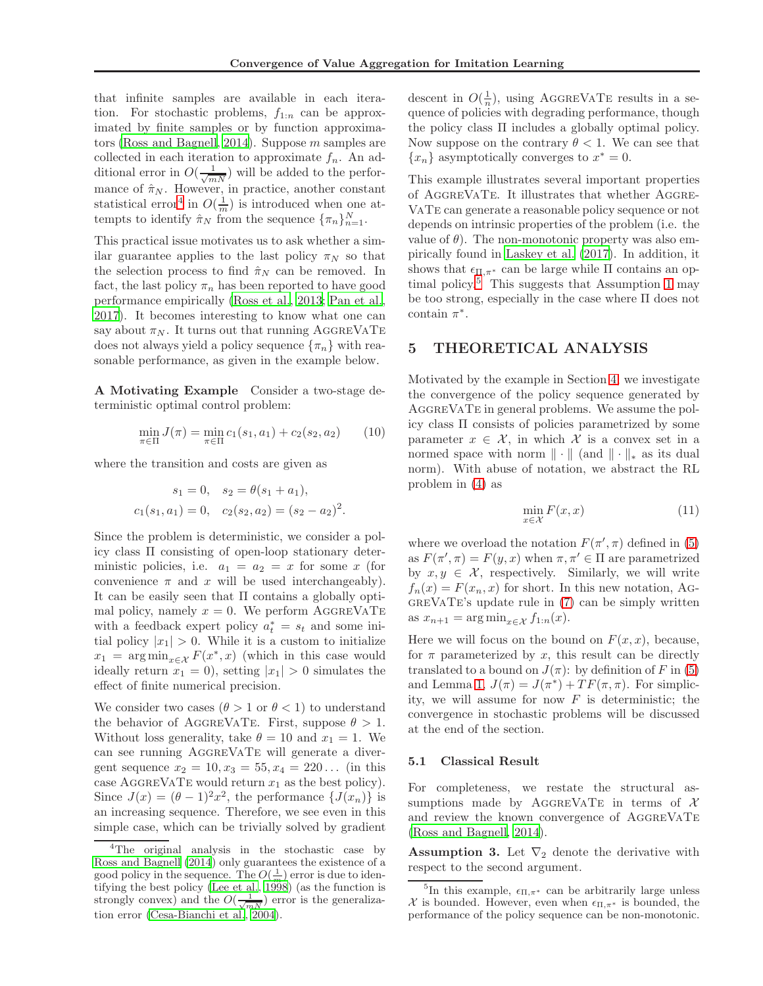that infinite samples are available in each iteration. For stochastic problems,  $f_{1:n}$  can be approximated by finite samples or by function approximators [\(Ross and Bagnell](#page-8-7), [2014\)](#page-8-7). Suppose m samples are collected in each iteration to approximate  $f_n$ . An additional error in  $O(\frac{1}{\sqrt{mN}})$  will be added to the performance of  $\hat{\pi}_N$ . However, in practice, another constant statistical error<sup>[4](#page-3-2)</sup> in  $O(\frac{1}{m})$  is introduced when one attempts to identify  $\hat{\pi}_N$  from the sequence  $\{\pi_n\}_{n=1}^N$ .

This practical issue motivates us to ask whether a similar guarantee applies to the last policy  $\pi_N$  so that the selection process to find  $\hat{\pi}_N$  can be removed. In fact, the last policy  $\pi_n$  has been reported to have good performance empirically [\(Ross et al., 2013;](#page-8-9) [Pan et al.,](#page-8-3) [2017\)](#page-8-3). It becomes interesting to know what one can say about  $\pi_N$ . It turns out that running AGGREVATE does not always yield a policy sequence  $\{\pi_n\}$  with reasonable performance, as given in the example below.

A Motivating Example Consider a two-stage deterministic optimal control problem:

$$
\min_{\pi \in \Pi} J(\pi) = \min_{\pi \in \Pi} c_1(s_1, a_1) + c_2(s_2, a_2) \tag{10}
$$

where the transition and costs are given as

$$
s_1 = 0
$$
,  $s_2 = \theta(s_1 + a_1)$ ,  
 $c_1(s_1, a_1) = 0$ ,  $c_2(s_2, a_2) = (s_2 - a_2)^2$ .

Since the problem is deterministic, we consider a policy class Π consisting of open-loop stationary deterministic policies, i.e.  $a_1 = a_2 = x$  for some x (for convenience  $\pi$  and x will be used interchangeably). It can be easily seen that Π contains a globally optimal policy, namely  $x = 0$ . We perform AGGREVATE with a feedback expert policy  $a_t^* = s_t$  and some initial policy  $|x_1| > 0$ . While it is a custom to initialize  $x_1 = \arg \min_{x \in \mathcal{X}} F(x^*, x)$  (which in this case would ideally return  $x_1 = 0$ , setting  $|x_1| > 0$  simulates the effect of finite numerical precision.

We consider two cases  $(\theta > 1 \text{ or } \theta < 1)$  to understand the behavior of AGGREVATE. First, suppose  $\theta > 1$ . Without loss generality, take  $\theta = 10$  and  $x_1 = 1$ . We can see running AggreVaTe will generate a divergent sequence  $x_2 = 10, x_3 = 55, x_4 = 220...$  (in this case AGGREVATE would return  $x_1$  as the best policy). Since  $J(x) = (\theta - 1)^2 x^2$ , the performance  $\{J(x_n)\}\$ is an increasing sequence. Therefore, we see even in this simple case, which can be trivially solved by gradient

descent in  $O(\frac{1}{n})$ , using AGGREVATE results in a sequence of policies with degrading performance, though the policy class  $\Pi$  includes a globally optimal policy. Now suppose on the contrary  $\theta$  < 1. We can see that  ${x_n}$  asymptotically converges to  $x^* = 0$ .

This example illustrates several important properties of AggreVaTe. It illustrates that whether Aggre-VaTe can generate a reasonable policy sequence or not depends on intrinsic properties of the problem (i.e. the value of  $\theta$ ). The non-monotonic property was also empirically found in [Laskey et al. \(2017\)](#page-8-8). In addition, it shows that  $\epsilon_{\Pi,\pi^*}$  can be large while  $\Pi$  contains an op-timal policy.<sup>[5](#page-3-3)</sup> This suggests that Assumption [1](#page-2-1) may be too strong, especially in the case where Π does not contain  $\pi^*$ .

### <span id="page-3-0"></span>5 THEORETICAL ANALYSIS

Motivated by the example in Section [4,](#page-2-0) we investigate the convergence of the policy sequence generated by AggreVaTe in general problems. We assume the policy class Π consists of policies parametrized by some parameter  $x \in \mathcal{X}$ , in which X is a convex set in a normed space with norm  $\|\cdot\|$  (and  $\|\cdot\|_*$  as its dual norm). With abuse of notation, we abstract the RL problem in [\(4\)](#page-1-4) as

<span id="page-3-5"></span>
$$
\min_{x \in \mathcal{X}} F(x, x) \tag{11}
$$

where we overload the notation  $F(\pi', \pi)$  defined in [\(5\)](#page-2-8) as  $F(\pi', \pi) = F(y, x)$  when  $\pi, \pi' \in \Pi$  are parametrized by  $x, y \in \mathcal{X}$ , respectively. Similarly, we will write  $f_n(x) = F(x_n, x)$  for short. In this new notation, AG- $GREVATE's update rule in (7) can be simply written.$  $GREVATE's update rule in (7) can be simply written.$  $GREVATE's update rule in (7) can be simply written.$ as  $x_{n+1} = \arg \min_{x \in \mathcal{X}} f_{1:n}(x)$ .

Here we will focus on the bound on  $F(x, x)$ , because, for  $\pi$  parameterized by x, this result can be directly translated to a bound on  $J(\pi)$ : by definition of F in [\(5\)](#page-2-8) and Lemma [1,](#page-1-2)  $J(\pi) = J(\pi^*) + TF(\pi, \pi)$ . For simplicity, we will assume for now  $F$  is deterministic; the convergence in stochastic problems will be discussed at the end of the section.

#### <span id="page-3-1"></span>5.1 Classical Result

For completeness, we restate the structural assumptions made by AGGREVATE in terms of  $\mathcal X$ and review the known convergence of AGGREVATE [\(Ross and Bagnell, 2014\)](#page-8-7).

<span id="page-3-4"></span>**Assumption 3.** Let  $\nabla_2$  denote the derivative with respect to the second argument.

<span id="page-3-2"></span><sup>&</sup>lt;sup>4</sup>The original analysis in the stochastic case by [Ross and Bagnell \(2014\)](#page-8-7) only guarantees the existence of a good policy in the sequence. The  $O(\frac{1}{m})$  error is due to iden-tifying the best policy [\(Lee et al.](#page-8-13), [1998](#page-8-13)) (as the function is strongly convex) and the  $O(\frac{1}{\sqrt{mN}})$  error is the generalization error [\(Cesa-Bianchi et al., 2004\)](#page-8-14).

<span id="page-3-3"></span><sup>&</sup>lt;sup>5</sup>In this example,  $\epsilon_{\Pi,\pi^*}$  can be arbitrarily large unless X is bounded. However, even when  $\epsilon_{\Pi,\pi^*}$  is bounded, the performance of the policy sequence can be non-monotonic.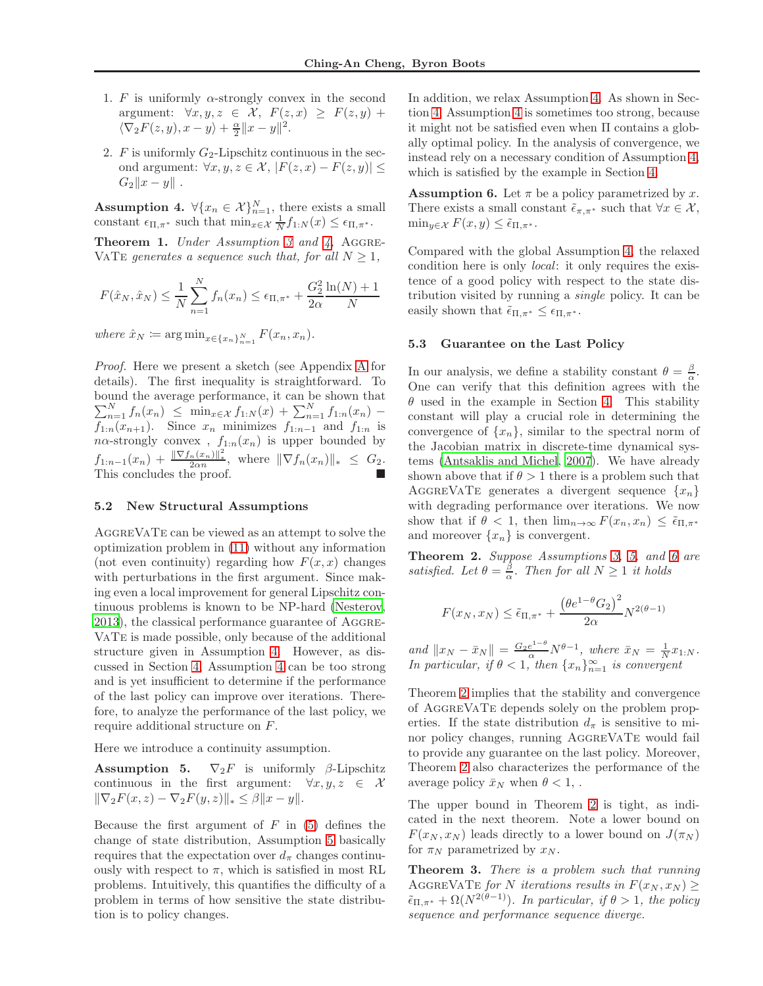- <span id="page-4-5"></span>1. F is uniformly  $\alpha$ -strongly convex in the second argument:  $\forall x, y, z \in \mathcal{X}, F(z, x) \geq F(z, y) +$  $\langle \nabla_2 F(z, y), x - y \rangle + \frac{\alpha}{2} ||x - y||^2.$
- <span id="page-4-6"></span>2. F is uniformly  $G_2$ -Lipschitz continuous in the second argument:  $\forall x, y, z \in \mathcal{X}, |F(z, x) - F(z, y)| \leq$  $G_2||x - y||$ .

<span id="page-4-0"></span>**Assumption 4.**  $\forall \{x_n \in \mathcal{X}\}_{n=1}^N$ , there exists a small constant  $\epsilon_{\Pi,\pi^*}$  such that  $\min_{x \in \mathcal{X}} \frac{1}{N} f_{1:N}(x) \leq \epsilon_{\Pi,\pi^*}.$ 

<span id="page-4-4"></span>**Theorem 1.** Under Assumption [3](#page-3-4) and  $\lambda$ , AGGRE-VATE generates a sequence such that, for all  $N \geq 1$ ,

$$
F(\hat{x}_N, \hat{x}_N) \le \frac{1}{N} \sum_{n=1}^N f_n(x_n) \le \epsilon_{\Pi, \pi^*} + \frac{G_2^2}{2\alpha} \frac{\ln(N) + 1}{N}
$$

where  $\hat{x}_N \coloneqq \arg \min_{x \in \{x_n\}_{n=1}^N} F(x_n, x_n)$ .

Proof. Here we present a sketch (see Appendix [A](#page-9-0) for details). The first inequality is straightforward. To bound the average performance, it can be shown that  $\sum_{n=1}^{N} f_n(x_n) \leq \min_{x \in \mathcal{X}} f_{1:N}(x) + \sum_{n=1}^{N} f_{1:n}(x_n)$  $f_{1:n}(x_{n+1})$ . Since  $x_n$  minimizes  $f_{1:n-1}$  and  $f_{1:n}$  is  $n\alpha$ -strongly convex,  $f_{1:n}(x_n)$  is upper bounded by  $f_{1:n-1}(x_n) + \frac{\|\nabla f_n(x_n)\|^2}{2\alpha n}, \text{ where } \|\nabla f_n(x_n)\|_* \leq G_2.$ This concludes the proof.

#### 5.2 New Structural Assumptions

AggreVaTe can be viewed as an attempt to solve the optimization problem in [\(11\)](#page-3-5) without any information (not even continuity) regarding how  $F(x, x)$  changes with perturbations in the first argument. Since making even a local improvement for general Lipschitz continuous problems is known to be NP-hard [\(Nesterov,](#page-8-15) [2013\)](#page-8-15), the classical performance guarantee of Aggre-VaTe is made possible, only because of the additional structure given in Assumption [4.](#page-4-0) However, as discussed in Section [4,](#page-2-0) Assumption [4](#page-4-0) can be too strong and is yet insufficient to determine if the performance of the last policy can improve over iterations. Therefore, to analyze the performance of the last policy, we require additional structure on F.

Here we introduce a continuity assumption.

<span id="page-4-1"></span>**Assumption 5.**  $\nabla_2 F$  is uniformly  $\beta$ -Lipschitz continuous in the first argument:  $\forall x, y, z \in \mathcal{X}$  $\|\nabla_2F(x, z) - \nabla_2F(y, z)\|_* \leq \beta \|x - y\|.$ 

Because the first argument of  $F$  in [\(5\)](#page-2-8) defines the change of state distribution, Assumption [5](#page-4-1) basically requires that the expectation over  $d_{\pi}$  changes continuously with respect to  $\pi$ , which is satisfied in most RL problems. Intuitively, this quantifies the difficulty of a problem in terms of how sensitive the state distribution is to policy changes.

In addition, we relax Assumption [4.](#page-4-0) As shown in Section [4,](#page-2-0) Assumption [4](#page-4-0) is sometimes too strong, because it might not be satisfied even when Π contains a globally optimal policy. In the analysis of convergence, we instead rely on a necessary condition of Assumption [4,](#page-4-0) which is satisfied by the example in Section [4.](#page-2-0)

<span id="page-4-2"></span>**Assumption 6.** Let  $\pi$  be a policy parametrized by x. There exists a small constant  $\tilde{\epsilon}_{\pi,\pi^*}$  such that  $\forall x \in \mathcal{X}$ ,  $\min_{y \in \mathcal{X}} F(x, y) \leq \tilde{\epsilon}_{\Pi, \pi^*}.$ 

Compared with the global Assumption [4,](#page-4-0) the relaxed condition here is only local: it only requires the existence of a good policy with respect to the state distribution visited by running a single policy. It can be easily shown that  $\tilde{\epsilon}_{\Pi,\pi^*} \leq \epsilon_{\Pi,\pi^*}$ .

#### 5.3 Guarantee on the Last Policy

In our analysis, we define a stability constant  $\theta = \frac{\beta}{\alpha}$ . One can verify that this definition agrees with the  $\theta$  used in the example in Section [4.](#page-2-0) This stability constant will play a crucial role in determining the convergence of  $\{x_n\}$ , similar to the spectral norm of the Jacobian matrix in discrete-time dynamical systems [\(Antsaklis and Michel, 2007\)](#page-7-0). We have already shown above that if  $\theta > 1$  there is a problem such that AGGREVATE generates a divergent sequence  $\{x_n\}$ with degrading performance over iterations. We now show that if  $\theta < 1$ , then  $\lim_{n\to\infty} F(x_n, x_n) \leq \tilde{\epsilon}_{\Pi,\pi^*}$ and moreover  $\{x_n\}$  is convergent.

<span id="page-4-3"></span>Theorem 2. Suppose Assumptions [3,](#page-3-4) [5,](#page-4-1) and [6](#page-4-2) are satisfied. Let  $\theta = \frac{\beta}{\alpha}$ . Then for all  $N \geq 1$  it holds

$$
F(x_N, x_N) \le \tilde{\epsilon}_{\Pi, \pi^*} + \frac{\left(\theta e^{1-\theta} G_2\right)^2}{2\alpha} N^{2(\theta-1)}
$$

and  $||x_N - \bar{x}_N|| = \frac{G_2 e^{1-\theta}}{\alpha} N^{\theta-1}$ , where  $\bar{x}_N = \frac{1}{N} x_{1:N}$ . In particular, if  $\theta < 1$ , then  $\{x_n\}_{n=1}^{\infty}$  is convergent

Theorem [2](#page-4-3) implies that the stability and convergence of AggreVaTe depends solely on the problem properties. If the state distribution  $d_{\pi}$  is sensitive to minor policy changes, running AggreVaTe would fail to provide any guarantee on the last policy. Moreover, Theorem [2](#page-4-3) also characterizes the performance of the average policy  $\bar{x}_N$  when  $\theta < 1$ ,.

The upper bound in Theorem [2](#page-4-3) is tight, as indicated in the next theorem. Note a lower bound on  $F(x_N, x_N)$  leads directly to a lower bound on  $J(\pi_N)$ for  $\pi_N$  parametrized by  $x_N$ .

<span id="page-4-7"></span>Theorem 3. There is a problem such that running AGGREVATE for N iterations results in  $F(x_N, x_N) \geq$  $\tilde{\epsilon}_{\Pi,\pi^*} + \Omega(N^{2(\theta-1)})$ . In particular, if  $\theta > 1$ , the policy sequence and performance sequence diverge.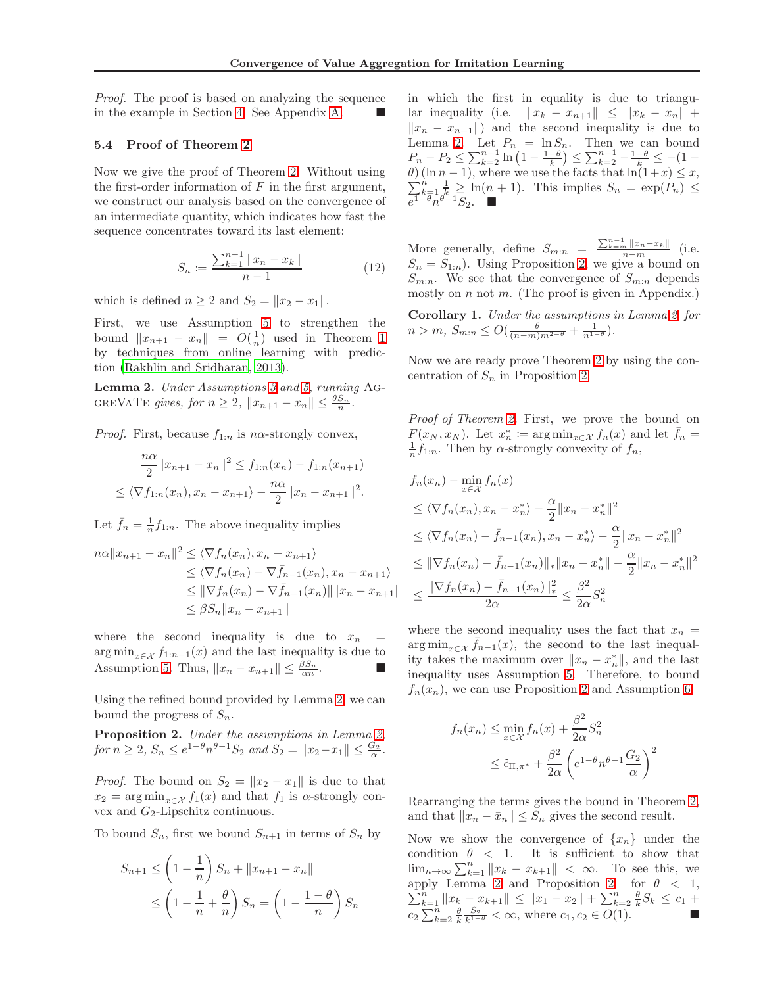Proof. The proof is based on analyzing the sequence in the example in Section [4.](#page-2-0) See Appendix [A.](#page-9-0)

#### 5.4 Proof of Theorem [2](#page-4-3)

Now we give the proof of Theorem [2.](#page-4-3) Without using the first-order information of  $F$  in the first argument, we construct our analysis based on the convergence of an intermediate quantity, which indicates how fast the sequence concentrates toward its last element:

$$
S_n := \frac{\sum_{k=1}^{n-1} ||x_n - x_k||}{n-1}
$$
 (12)

which is defined  $n \geq 2$  and  $S_2 = ||x_2 - x_1||$ .

First, we use Assumption [5](#page-4-1) to strengthen the bound  $||x_{n+1} - x_n|| = O(\frac{1}{n})$  used in Theorem [1](#page-4-4) by techniques from online learning with prediction [\(Rakhlin and Sridharan, 2013\)](#page-8-16).

<span id="page-5-0"></span>Lemma 2. Under Assumptions [3](#page-3-4) and [5,](#page-4-1) running Ag-GREVATE gives, for  $n \geq 2$ ,  $||x_{n+1} - x_n|| \leq \frac{\theta S_n}{n}$ .

*Proof.* First, because  $f_{1:n}$  is n $\alpha$ -strongly convex,

$$
\frac{n\alpha}{2}||x_{n+1} - x_n||^2 \le f_{1:n}(x_n) - f_{1:n}(x_{n+1})
$$
  

$$
\le \langle \nabla f_{1:n}(x_n), x_n - x_{n+1} \rangle - \frac{n\alpha}{2}||x_n - x_{n+1}||^2.
$$

Let  $\bar{f}_n = \frac{1}{n} f_{1:n}$ . The above inequality implies

$$
n\alpha ||x_{n+1} - x_n||^2 \le \langle \nabla f_n(x_n), x_n - x_{n+1} \rangle
$$
  
\n
$$
\le \langle \nabla f_n(x_n) - \nabla \bar{f}_{n-1}(x_n), x_n - x_{n+1} \rangle
$$
  
\n
$$
\le ||\nabla f_n(x_n) - \nabla \bar{f}_{n-1}(x_n)|| ||x_n - x_{n+1}||
$$
  
\n
$$
\le \beta S_n ||x_n - x_{n+1}||
$$

where the second inequality is due to  $x_n =$  $\arg \min_{x \in \mathcal{X}} f_{1:n-1}(x)$  and the last inequality is due to Assumption [5.](#page-4-1) Thus,  $||x_n - x_{n+1}|| \leq \frac{\beta S_n}{\alpha n}$ .

Using the refined bound provided by Lemma [2,](#page-5-0) we can bound the progress of  $S_n$ .

<span id="page-5-1"></span>Proposition 2. Under the assumptions in Lemma [2,](#page-5-0) for  $n \ge 2$ ,  $S_n \le e^{1-\theta} n^{\theta-1} S_2$  and  $S_2 = ||x_2 - x_1|| \le \frac{G_2}{\alpha}$ .

*Proof.* The bound on  $S_2 = ||x_2 - x_1||$  is due to that  $x_2 = \arg\min_{x \in \mathcal{X}} f_1(x)$  and that  $f_1$  is  $\alpha$ -strongly convex and  $G_2$ -Lipschitz continuous.

To bound  $S_n$ , first we bound  $S_{n+1}$  in terms of  $S_n$  by

$$
S_{n+1} \le \left(1 - \frac{1}{n}\right) S_n + ||x_{n+1} - x_n||
$$
  

$$
\le \left(1 - \frac{1}{n} + \frac{\theta}{n}\right) S_n = \left(1 - \frac{1 - \theta}{n}\right) S_n
$$

in which the first in equality is due to triangular inequality (i.e.  $||x_k - x_{n+1}|| \le ||x_k - x_n|| +$  $||x_n - x_{n+1}||$  and the second inequality is due to Lemma [2.](#page-5-0) Let  $P_n = \ln S_n$ . Then we can bound  $P_n - P_2 \le \sum_{k=2}^{n-1} \ln \left( 1 - \frac{1-\theta}{k} \right) \le \sum_{k=2}^{n-1} - \frac{1-\theta}{k} \le -(1-\theta)$  $\sum_k^n$  $\theta$ ) (ln n – 1), where we use the facts that  $\ln(1+x) \leq x$ ,  $\sum_{k=1}^n \frac{1}{k} \geq \ln(n+1)$ . This implies  $S_n = \exp(P_n) \leq$  $e^{1-\theta}n^{\theta-1}S_2$ .  $\blacksquare$ 

More generally, define  $S_{m:n} = \frac{\sum_{k=m}^{n-1} ||x_n - x_k||}{n-m}$  (i.e.  $S_n = S_{1:n}$ ). Using Proposition [2,](#page-5-1) we give a bound on  $S_{m:n}$ . We see that the convergence of  $S_{m:n}$  depends mostly on  $n$  not  $m$ . (The proof is given in Appendix.)

Corollary 1. Under the assumptions in Lemma [2,](#page-5-0) for  $n > m, S_{m:n} \leq O(\frac{\theta}{(n-m)m^{2-\theta}} + \frac{1}{n^{1-\theta}}).$ 

Now we are ready prove Theorem [2](#page-4-3) by using the concentration of  $S_n$  in Proposition [2.](#page-5-1)

Proof of Theorem [2.](#page-4-3) First, we prove the bound on  $F(x_N, x_N)$ . Let  $x_n^* := \arg \min_{x \in \mathcal{X}} f_n(x)$  and let  $\bar{f}_n =$  $\frac{1}{n}f_{1:n}$ . Then by  $\alpha$ -strongly convexity of  $f_n$ ,

$$
f_n(x_n) - \min_{x \in \mathcal{X}} f_n(x)
$$
  
\n
$$
\leq \langle \nabla f_n(x_n), x_n - x_n^* \rangle - \frac{\alpha}{2} ||x_n - x_n^*||^2
$$
  
\n
$$
\leq \langle \nabla f_n(x_n) - \bar{f}_{n-1}(x_n), x_n - x_n^* \rangle - \frac{\alpha}{2} ||x_n - x_n^*||^2
$$
  
\n
$$
\leq ||\nabla f_n(x_n) - \bar{f}_{n-1}(x_n)||_* ||x_n - x_n^*|| - \frac{\alpha}{2} ||x_n - x_n^*||^2
$$
  
\n
$$
\leq \frac{||\nabla f_n(x_n) - \bar{f}_{n-1}(x_n)||_*^2}{2\alpha} \leq \frac{\beta^2}{2\alpha} S_n^2
$$

where the second inequality uses the fact that  $x_n =$  $\arg \min_{x \in \mathcal{X}} \bar{f}_{n-1}(x)$ , the second to the last inequality takes the maximum over  $||x_n - x_n^*||$ , and the last inequality uses Assumption [5.](#page-4-1) Therefore, to bound  $f_n(x_n)$ , we can use Proposition [2](#page-5-1) and Assumption [6:](#page-4-2)

$$
f_n(x_n) \le \min_{x \in \mathcal{X}} f_n(x) + \frac{\beta^2}{2\alpha} S_n^2
$$
  
 
$$
\le \tilde{\epsilon}_{\Pi, \pi^*} + \frac{\beta^2}{2\alpha} \left( e^{1-\theta} n^{\theta-1} \frac{G_2}{\alpha} \right)^2
$$

Rearranging the terms gives the bound in Theorem [2,](#page-4-3) and that  $||x_n - \bar{x}_n|| \leq S_n$  gives the second result.

Now we show the convergence of  $\{x_n\}$  under the condition  $\theta$  < 1. It is sufficient to show that  $\lim_{n\to\infty}\sum_{k=1}^n||x_k - x_{k+1}|| < \infty$ . To see this, we  $\sum_{k=1}^{n} ||x_k - x_{k+1}|| \le ||x_1 - x_2|| + \sum_{k=2}^{n} \frac{\theta}{k} S_k \le c_1 +$ apply Lemma [2](#page-5-0) and Proposition [2:](#page-5-1) for  $\theta \, < \, 1$ ,  $c_2 \sum_{k=2}^n \frac{\theta}{k} \frac{S_2}{k^{1-\theta}} < \infty$ , where  $c_1, c_2 \in O(1)$ .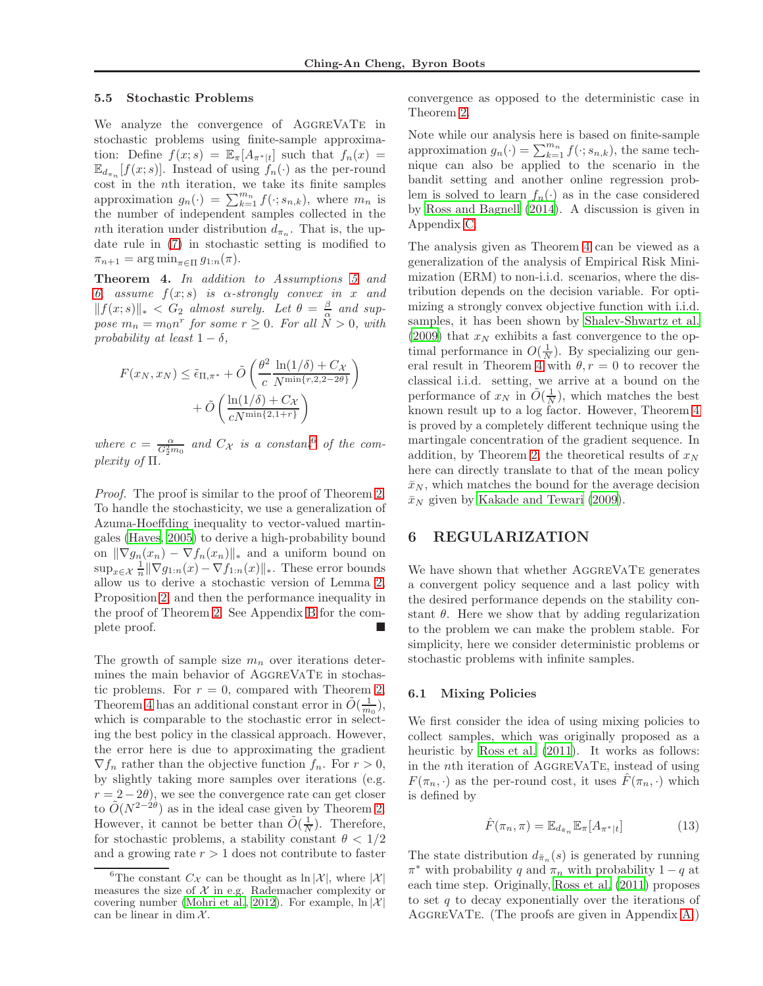#### 5.5 Stochastic Problems

We analyze the convergence of AGGREVATE in stochastic problems using finite-sample approximation: Define  $f(x; s) = \mathbb{E}_{\pi}[A_{\pi^*|t}]$  such that  $f_n(x) =$  $\mathbb{E}_{d_{\pi_n}}[f(x; s)]$ . Instead of using  $f_n(\cdot)$  as the per-round cost in the nth iteration, we take its finite samples approximation  $g_n(\cdot) = \sum_{k=1}^{m_n} f(\cdot; s_{n,k})$ , where  $m_n$  is the number of independent samples collected in the nth iteration under distribution  $d_{\pi_n}$ . That is, the update rule in [\(7\)](#page-2-5) in stochastic setting is modified to  $\pi_{n+1} = \arg \min_{\pi \in \Pi} g_{1:n}(\pi).$ 

<span id="page-6-2"></span>Theorem 4. In addition to Assumptions [5](#page-4-1) and [6,](#page-4-2) assume  $f(x; s)$  is  $\alpha$ -strongly convex in x and  $||f(x; s)||_* < G_2$  almost surely. Let  $\theta = \frac{\beta}{\alpha}$  and suppose  $m_n = m_0 n^r$  for some  $r \ge 0$ . For all  $\tilde{N} > 0$ , with probability at least  $1 - \delta$ ,

$$
F(x_N, x_N) \leq \tilde{\epsilon}_{\Pi, \pi^*} + \tilde{O}\left(\frac{\theta^2}{c} \frac{\ln(1/\delta) + C_{\mathcal{X}}}{N^{\min\{r, 2, 2 - 2\theta\}}}\right) + \tilde{O}\left(\frac{\ln(1/\delta) + C_{\mathcal{X}}}{cN^{\min\{2, 1 + r\}}}\right)
$$

where  $c = \frac{\alpha}{G_2^2 m_0}$  and  $C_{\mathcal{X}}$  is a constant of the complexity of Π.

Proof. The proof is similar to the proof of Theorem [2.](#page-4-3) To handle the stochasticity, we use a generalization of Azuma-Hoeffding inequality to vector-valued martingales [\(Hayes, 2005\)](#page-8-17) to derive a high-probability bound on  $\|\nabla g_n(x_n) - \nabla f_n(x_n)\|_*$  and a uniform bound on  $\sup_{x \in \mathcal{X}} \frac{1}{n} \|\nabla g_{1:n}(x) - \nabla f_{1:n}(x)\|_*$ . These error bounds allow us to derive a stochastic version of Lemma [2,](#page-5-0) Proposition [2,](#page-5-1) and then the performance inequality in the proof of Theorem [2.](#page-4-3) See Appendix [B](#page-12-0) for the complete proof.

The growth of sample size  $m_n$  over iterations determines the main behavior of AggreVaTe in stochastic problems. For  $r = 0$ , compared with Theorem [2,](#page-4-3) Theorem [4](#page-6-2) has an additional constant error in  $\tilde{O}(\frac{1}{m_0})$ , which is comparable to the stochastic error in selecting the best policy in the classical approach. However, the error here is due to approximating the gradient  $\nabla f_n$  rather than the objective function  $f_n$ . For  $r > 0$ , by slightly taking more samples over iterations (e.g.  $r = 2 - 2\theta$ , we see the convergence rate can get closer to  $\tilde{O}(N^{2-2\theta})$  as in the ideal case given by Theorem [2.](#page-4-3) However, it cannot be better than  $\tilde{O}(\frac{1}{N})$ . Therefore, for stochastic problems, a stability constant  $\theta < 1/2$ and a growing rate  $r > 1$  does not contribute to faster convergence as opposed to the deterministic case in Theorem [2.](#page-4-3)

Note while our analysis here is based on finite-sample approximation  $g_n(\cdot) = \sum_{k=1}^{m_n} f(\cdot; s_{n,k})$ , the same technique can also be applied to the scenario in the bandit setting and another online regression problem is solved to learn  $f_n(\cdot)$  as in the case considered by [Ross and Bagnell \(2014\)](#page-8-7). A discussion is given in Appendix [C.](#page-20-0)

The analysis given as Theorem [4](#page-6-2) can be viewed as a generalization of the analysis of Empirical Risk Minimization (ERM) to non-i.i.d. scenarios, where the distribution depends on the decision variable. For optimizing a strongly convex objective function with i.i.d. samples, it has been shown by [Shalev-Shwartz et al.](#page-8-19) [\(2009\)](#page-8-19) that  $x_N$  exhibits a fast convergence to the optimal performance in  $O(\frac{1}{N})$ . By specializing our gen-eral result in Theorem [4](#page-6-2) with  $\theta$ ,  $r = 0$  to recover the classical i.i.d. setting, we arrive at a bound on the performance of  $x_N$  in  $\tilde{O}(\frac{1}{N})$ , which matches the best known result up to a log factor. However, Theorem [4](#page-6-2) is proved by a completely different technique using the martingale concentration of the gradient sequence. In addition, by Theorem [2,](#page-4-3) the theoretical results of  $x_N$ here can directly translate to that of the mean policy  $\bar{x}_N$ , which matches the bound for the average decision  $\bar{x}_N$  given by [Kakade and Tewari \(2009\)](#page-8-20).

### <span id="page-6-0"></span>6 REGULARIZATION

We have shown that whether AGGREVATE generates a convergent policy sequence and a last policy with the desired performance depends on the stability constant  $\theta$ . Here we show that by adding regularization to the problem we can make the problem stable. For simplicity, here we consider deterministic problems or stochastic problems with infinite samples.

#### 6.1 Mixing Policies

We first consider the idea of using mixing policies to collect samples, which was originally proposed as a heuristic by [Ross et al. \(2011\)](#page-8-5). It works as follows: in the nth iteration of AggreVaTe, instead of using  $F(\pi_n, \cdot)$  as the per-round cost, it uses  $F(\pi_n, \cdot)$  which is defined by

<span id="page-6-3"></span>
$$
\hat{F}(\pi_n, \pi) = \mathbb{E}_{d_{\tilde{\pi}_n}} \mathbb{E}_{\pi} [A_{\pi^*|t}] \tag{13}
$$

The state distribution  $d_{\tilde{\pi}_n}(s)$  is generated by running  $\pi^*$  with probability q and  $\pi_n$  with probability  $1-q$  at each time step. Originally, [Ross et al. \(2011\)](#page-8-5) proposes to set q to decay exponentially over the iterations of AGGREVATE. (The proofs are given in Appendix [A.](#page-9-0))

<span id="page-6-1"></span><sup>&</sup>lt;sup>6</sup>The constant  $C_{\mathcal{X}}$  can be thought as  $\ln |\mathcal{X}|$ , where  $|\mathcal{X}|$ measures the size of  $X$  in e.g. Rademacher complexity or covering number [\(Mohri et al.](#page-8-18), [2012](#page-8-18)). For example,  $\ln |\mathcal{X}|$ can be linear in dim  $\mathcal{X}$ .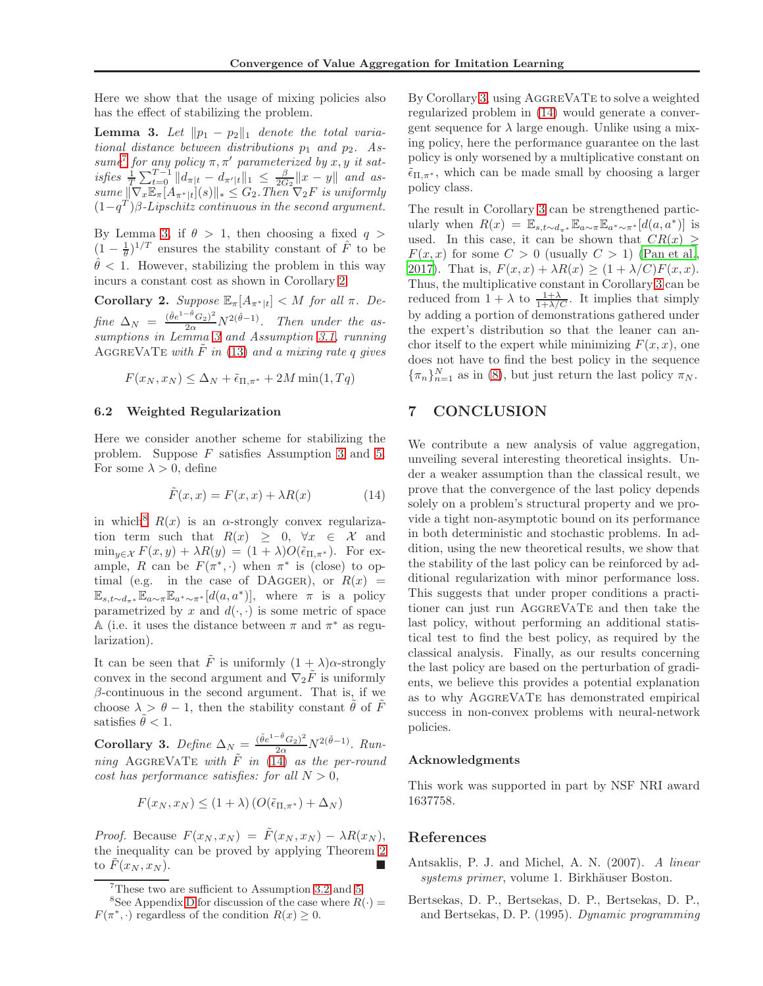Here we show that the usage of mixing policies also has the effect of stabilizing the problem.

<span id="page-7-2"></span>**Lemma 3.** Let  $\|p_1 - p_2\|_1$  denote the total variational distance between distributions  $p_1$  and  $p_2$ . As-sume<sup>[7](#page-7-1)</sup> for any policy  $\pi, \pi'$  parameterized by x, y it satisfies  $\frac{1}{T} \sum_{t=0}^{T-1} ||d_{\pi|t} - d_{\pi'|t}||_1 \leq \frac{\beta}{2G_2} ||x - y||$  and as $sum \, \mathbb{E}_{\pi}[A_{\pi^*|t}](s) \Vert_* \leq G_2$ . Then  $\nabla_2 F$  is uniformly  $(1-q^T)\beta$ -Lipschitz continuous in the second argument.

By Lemma [3,](#page-7-2) if  $\theta > 1$ , then choosing a fixed  $q >$  $(1 - \frac{1}{\theta})^{1/T}$  ensures the stability constant of  $\hat{F}$  to be  $\hat{\theta}$  < 1. However, stabilizing the problem in this way incurs a constant cost as shown in Corollary [2.](#page-7-3)

<span id="page-7-3"></span>Corollary 2. Suppose  $\mathbb{E}_{\pi}[A_{\pi^*|t}] < M$  for all  $\pi$ . Define  $\Delta_N = \frac{(\hat{\theta}e^{1-\hat{\theta}}G_2)^2}{2\alpha}N^{2(\hat{\theta}-1)}$ . Then under the assumptions in Lemma [3](#page-7-2) and Assumption [3.1,](#page-4-5) running AGGREVATE with  $F$  in [\(13\)](#page-6-3) and a mixing rate q gives

$$
F(x_N, x_N) \le \Delta_N + \tilde{\epsilon}_{\Pi, \pi^*} + 2M \min(1, Tq)
$$

#### 6.2 Weighted Regularization

Here we consider another scheme for stabilizing the problem. Suppose F satisfies Assumption [3](#page-3-4) and [5.](#page-4-1) For some  $\lambda > 0$ , define

$$
\tilde{F}(x,x) = F(x,x) + \lambda R(x) \tag{14}
$$

in which<sup>[8](#page-7-4)</sup>  $R(x)$  is an  $\alpha$ -strongly convex regularization term such that  $R(x) \geq 0, \forall x \in \mathcal{X}$  and  $\min_{y \in \mathcal{X}} F(x, y) + \lambda R(y) = (1 + \lambda)O(\tilde{\epsilon}_{\Pi, \pi^*}).$  For example, R can be  $F(\pi^*, \cdot)$  when  $\pi^*$  is (close) to optimal (e.g. in the case of DAGGER), or  $R(x)$  =  $\mathbb{E}_{s,t\sim d_{\pi^*}}\mathbb{E}_{a\sim \pi}\mathbb{E}_{a^*\sim \pi^*}[d(a,a^*)],$  where  $\pi$  is a policy parametrized by x and  $d(\cdot, \cdot)$  is some metric of space A (i.e. it uses the distance between  $\pi$  and  $\pi^*$  as regularization).

It can be seen that  $\tilde{F}$  is uniformly  $(1 + \lambda)\alpha$ -strongly convex in the second argument and  $\nabla_2 \tilde{F}$  is uniformly  $\beta$ -continuous in the second argument. That is, if we choose  $\lambda > \theta - 1$ , then the stability constant  $\tilde{\theta}$  of  $\tilde{F}$ satisfies  $\tilde{\theta} < 1$ .

<span id="page-7-6"></span>Corollary 3. Define  $\Delta_N = \frac{(\tilde{\theta}e^{1-\tilde{\theta}}G_2)^2}{2\alpha}N^{2(\tilde{\theta}-1)}$ . Running AGGREVATE with  $\tilde{F}$  in [\(14\)](#page-7-5) as the per-round cost has performance satisfies: for all  $N > 0$ ,

$$
F(x_N, x_N) \le (1 + \lambda) \left( O(\tilde{\epsilon}_{\Pi, \pi^*}) + \Delta_N \right)
$$

*Proof.* Because  $F(x_N, x_N) = \tilde{F}(x_N, x_N) - \lambda R(x_N)$ , the inequality can be proved by applying Theorem [2](#page-4-3) to  $F(x_N, x_N)$ .

By Corollary [3,](#page-7-6) using AGGREVATE to solve a weighted regularized problem in [\(14\)](#page-7-5) would generate a convergent sequence for  $\lambda$  large enough. Unlike using a mixing policy, here the performance guarantee on the last policy is only worsened by a multiplicative constant on  $\tilde{\epsilon}_{\Pi,\pi^*}$ , which can be made small by choosing a larger policy class.

The result in Corollary [3](#page-7-6) can be strengthened particularly when  $R(x) = \mathbb{E}_{s,t \sim d_{\pi^*}} \mathbb{E}_{a \sim \pi} \mathbb{E}_{a^* \sim \pi^*}[d(a,a^*)]$  is used. In this case, it can be shown that  $CR(x) \geq$  $F(x, x)$  for some  $C > 0$  (usually  $C > 1$ ) [\(Pan et al.,](#page-8-3) [2017\)](#page-8-3). That is,  $F(x, x) + \lambda R(x) \geq (1 + \lambda/C)F(x, x)$ . Thus, the multiplicative constant in Corollary [3](#page-7-6) can be reduced from  $1 + \lambda$  to  $\frac{1 + \lambda}{1 + \lambda/C}$ . It implies that simply by adding a portion of demonstrations gathered under the expert's distribution so that the leaner can anchor itself to the expert while minimizing  $F(x, x)$ , one does not have to find the best policy in the sequence  ${\lbrace \pi_n \rbrace_{n=1}^N}$  as in [\(8\)](#page-2-9), but just return the last policy  $\pi_N$ .

## 7 CONCLUSION

<span id="page-7-5"></span>We contribute a new analysis of value aggregation, unveiling several interesting theoretical insights. Under a weaker assumption than the classical result, we prove that the convergence of the last policy depends solely on a problem's structural property and we provide a tight non-asymptotic bound on its performance in both deterministic and stochastic problems. In addition, using the new theoretical results, we show that the stability of the last policy can be reinforced by additional regularization with minor performance loss. This suggests that under proper conditions a practitioner can just run AggreVaTe and then take the last policy, without performing an additional statistical test to find the best policy, as required by the classical analysis. Finally, as our results concerning the last policy are based on the perturbation of gradients, we believe this provides a potential explanation as to why AggreVaTe has demonstrated empirical success in non-convex problems with neural-network policies.

#### Acknowledgments

This work was supported in part by NSF NRI award 1637758.

#### References

- <span id="page-7-0"></span>Antsaklis, P. J. and Michel, A. N. (2007). A linear systems primer, volume 1. Birkhäuser Boston.
- <span id="page-7-7"></span>Bertsekas, D. P., Bertsekas, D. P., Bertsekas, D. P., and Bertsekas, D. P. (1995). Dynamic programming

<span id="page-7-1"></span><sup>7</sup>These two are sufficient to Assumption [3.2](#page-4-6) and [5.](#page-4-1)

<span id="page-7-4"></span><sup>&</sup>lt;sup>8</sup>See Appendix [D](#page-20-1) for discussion of the case where  $R(\cdot)$  =  $F(\pi^*, \cdot)$  regardless of the condition  $R(x) \geq 0$ .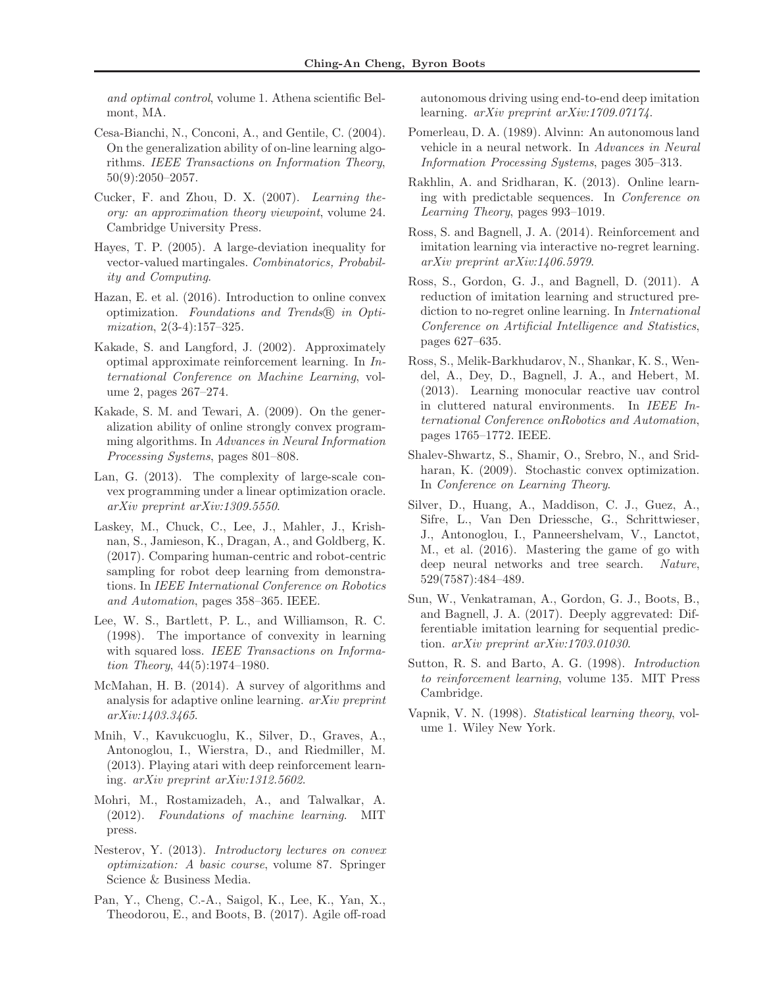and optimal control, volume 1. Athena scientific Belmont, MA.

- <span id="page-8-14"></span>Cesa-Bianchi, N., Conconi, A., and Gentile, C. (2004). On the generalization ability of on-line learning algorithms. IEEE Transactions on Information Theory, 50(9):2050–2057.
- <span id="page-8-23"></span>Cucker, F. and Zhou, D. X. (2007). Learning theory: an approximation theory viewpoint, volume 24. Cambridge University Press.
- <span id="page-8-17"></span>Hayes, T. P. (2005). A large-deviation inequality for vector-valued martingales. Combinatorics, Probability and Computing.
- <span id="page-8-11"></span>Hazan, E. et al. (2016). Introduction to online convex optimization. Foundations and Trends <sup>R</sup> in Optimization, 2(3-4):157–325.
- <span id="page-8-12"></span>Kakade, S. and Langford, J. (2002). Approximately optimal approximate reinforcement learning. In International Conference on Machine Learning, volume 2, pages 267–274.
- <span id="page-8-20"></span>Kakade, S. M. and Tewari, A. (2009). On the generalization ability of online strongly convex programming algorithms. In Advances in Neural Information Processing Systems, pages 801–808.
- <span id="page-8-22"></span>Lan, G. (2013). The complexity of large-scale convex programming under a linear optimization oracle. arXiv preprint arXiv:1309.5550.
- <span id="page-8-8"></span>Laskey, M., Chuck, C., Lee, J., Mahler, J., Krishnan, S., Jamieson, K., Dragan, A., and Goldberg, K. (2017). Comparing human-centric and robot-centric sampling for robot deep learning from demonstrations. In IEEE International Conference on Robotics and Automation, pages 358–365. IEEE.
- <span id="page-8-13"></span>Lee, W. S., Bartlett, P. L., and Williamson, R. C. (1998). The importance of convexity in learning with squared loss. IEEE Transactions on Information Theory, 44(5):1974–1980.
- <span id="page-8-21"></span>McMahan, H. B. (2014). A survey of algorithms and analysis for adaptive online learning. arXiv preprint arXiv:1403.3465.
- <span id="page-8-2"></span>Mnih, V., Kavukcuoglu, K., Silver, D., Graves, A., Antonoglou, I., Wierstra, D., and Riedmiller, M. (2013). Playing atari with deep reinforcement learning. arXiv preprint arXiv:1312.5602.
- <span id="page-8-18"></span>Mohri, M., Rostamizadeh, A., and Talwalkar, A. (2012). Foundations of machine learning. MIT press.
- <span id="page-8-15"></span>Nesterov, Y. (2013). Introductory lectures on convex optimization: A basic course, volume 87. Springer Science & Business Media.
- <span id="page-8-3"></span>Pan, Y., Cheng, C.-A., Saigol, K., Lee, K., Yan, X., Theodorou, E., and Boots, B. (2017). Agile off-road

autonomous driving using end-to-end deep imitation learning. *arXiv preprint arXiv:1709.07174*.

- <span id="page-8-4"></span>Pomerleau, D. A. (1989). Alvinn: An autonomous land vehicle in a neural network. In Advances in Neural Information Processing Systems, pages 305–313.
- <span id="page-8-16"></span>Rakhlin, A. and Sridharan, K. (2013). Online learning with predictable sequences. In Conference on Learning Theory, pages 993–1019.
- <span id="page-8-7"></span>Ross, S. and Bagnell, J. A. (2014). Reinforcement and imitation learning via interactive no-regret learning. arXiv preprint arXiv:1406.5979.
- <span id="page-8-5"></span>Ross, S., Gordon, G. J., and Bagnell, D. (2011). A reduction of imitation learning and structured prediction to no-regret online learning. In International Conference on Artificial Intelligence and Statistics, pages 627–635.
- <span id="page-8-9"></span>Ross, S., Melik-Barkhudarov, N., Shankar, K. S., Wendel, A., Dey, D., Bagnell, J. A., and Hebert, M. (2013). Learning monocular reactive uav control in cluttered natural environments. In IEEE International Conference onRobotics and Automation, pages 1765–1772. IEEE.
- <span id="page-8-19"></span>Shalev-Shwartz, S., Shamir, O., Srebro, N., and Sridharan, K. (2009). Stochastic convex optimization. In Conference on Learning Theory.
- <span id="page-8-1"></span>Silver, D., Huang, A., Maddison, C. J., Guez, A., Sifre, L., Van Den Driessche, G., Schrittwieser, J., Antonoglou, I., Panneershelvam, V., Lanctot, M., et al. (2016). Mastering the game of go with deep neural networks and tree search. Nature, 529(7587):484–489.
- <span id="page-8-6"></span>Sun, W., Venkatraman, A., Gordon, G. J., Boots, B., and Bagnell, J. A. (2017). Deeply aggrevated: Differentiable imitation learning for sequential prediction. arXiv preprint arXiv:1703.01030.
- <span id="page-8-0"></span>Sutton, R. S. and Barto, A. G. (1998). Introduction to reinforcement learning, volume 135. MIT Press Cambridge.
- <span id="page-8-10"></span>Vapnik, V. N. (1998). Statistical learning theory, volume 1. Wiley New York.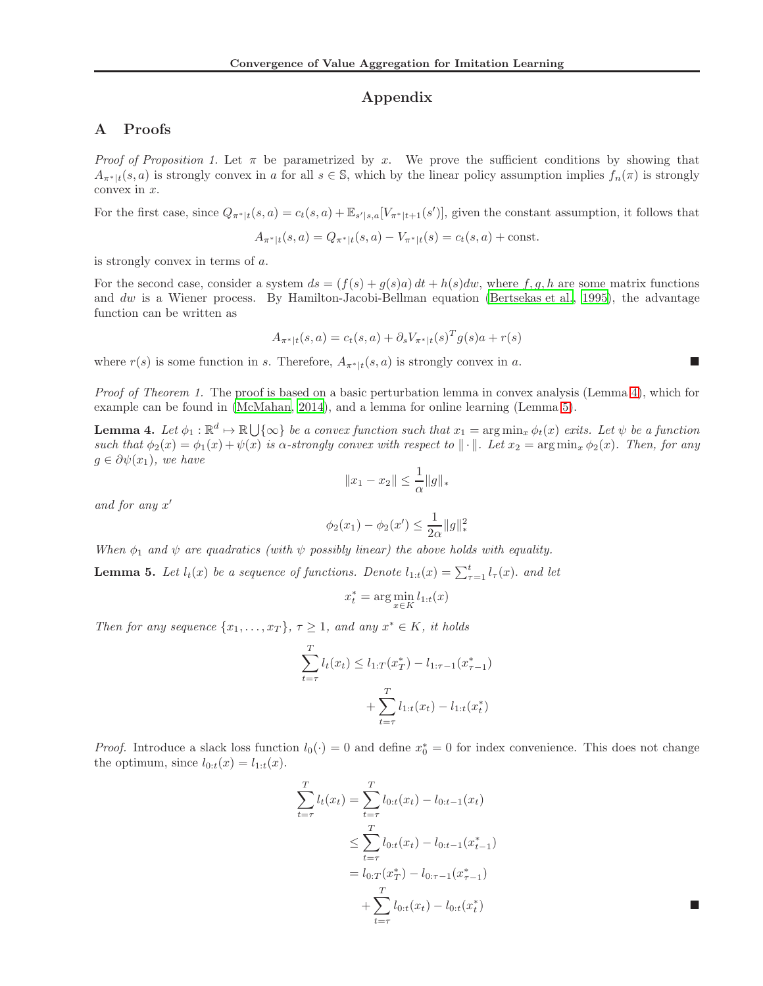## Appendix

## <span id="page-9-0"></span>A Proofs

*Proof of Proposition 1.* Let  $\pi$  be parametrized by x. We prove the sufficient conditions by showing that  $A_{\pi^*|t}(s, a)$  is strongly convex in a for all  $s \in \mathbb{S}$ , which by the linear policy assumption implies  $f_n(\pi)$  is strongly convex in  $x$ .

For the first case, since  $Q_{\pi^*|t}(s, a) = c_t(s, a) + \mathbb{E}_{s'|s, a}[V_{\pi^*|t+1}(s')]$ , given the constant assumption, it follows that

$$
A_{\pi^*|t}(s, a) = Q_{\pi^*|t}(s, a) - V_{\pi^*|t}(s) = c_t(s, a) + \text{const.}
$$

is strongly convex in terms of a.

For the second case, consider a system  $ds = (f(s) + g(s)a) dt + h(s) dw$ , where f, g, h are some matrix functions and dw is a Wiener process. By Hamilton-Jacobi-Bellman equation [\(Bertsekas et al., 1995\)](#page-7-7), the advantage function can be written as

$$
A_{\pi^*|t}(s, a) = c_t(s, a) + \partial_s V_{\pi^*|t}(s)^T g(s) a + r(s)
$$

where  $r(s)$  is some function in s. Therefore,  $A_{\pi^*|t}(s, a)$  is strongly convex in a.

Proof of Theorem 1. The proof is based on a basic perturbation lemma in convex analysis (Lemma [4\)](#page-9-1), which for example can be found in [\(McMahan, 2014\)](#page-8-21), and a lemma for online learning (Lemma [5\)](#page-9-2).

<span id="page-9-1"></span>**Lemma 4.** Let  $\phi_1 : \mathbb{R}^d \mapsto \mathbb{R} \cup \{\infty\}$  be a convex function such that  $x_1 = \arg \min_x \phi_t(x)$  exits. Let  $\psi$  be a function such that  $\phi_2(x) = \phi_1(x) + \psi(x)$  is  $\alpha$ -strongly convex with respect to  $\|\cdot\|$ . Let  $x_2 = \arg\min_x \phi_2(x)$ . Then, for any  $g \in \partial \psi(x_1)$ , we have

$$
||x_1 - x_2|| \le \frac{1}{\alpha} ||g||_*
$$

and for any x ′

$$
\phi_2(x_1) - \phi_2(x') \le \frac{1}{2\alpha} \|g\|_*^2
$$

When  $\phi_1$  and  $\psi$  are quadratics (with  $\psi$  possibly linear) the above holds with equality.

<span id="page-9-2"></span>**Lemma 5.** Let  $l_t(x)$  be a sequence of functions. Denote  $l_{1:t}(x) = \sum_{\tau=1}^t l_{\tau}(x)$ . and let

$$
x_t^* = \arg\min_{x \in K} l_{1:t}(x)
$$

Then for any sequence  $\{x_1, \ldots, x_T\}, \tau \geq 1$ , and any  $x^* \in K$ , it holds

$$
\sum_{t=\tau}^{T} l_t(x_t) \le l_{1:T}(x_T^*) - l_{1:\tau-1}(x_{\tau-1}^*)
$$

$$
+ \sum_{t=\tau}^{T} l_{1:t}(x_t) - l_{1:t}(x_t^*)
$$

*Proof.* Introduce a slack loss function  $l_0(\cdot) = 0$  and define  $x_0^* = 0$  for index convenience. This does not change the optimum, since  $l_{0:t}(x) = l_{1:t}(x)$ .

$$
\sum_{t=\tau}^{T} l_t(x_t) = \sum_{t=\tau}^{T} l_{0:t}(x_t) - l_{0:t-1}(x_t)
$$
\n
$$
\leq \sum_{t=\tau}^{T} l_{0:t}(x_t) - l_{0:t-1}(x_{t-1}^*)
$$
\n
$$
= l_{0:T}(x_T^*) - l_{0:T-1}(x_{\tau-1}^*)
$$
\n
$$
+ \sum_{t=\tau}^{T} l_{0:t}(x_t) - l_{0:t}(x_t^*)
$$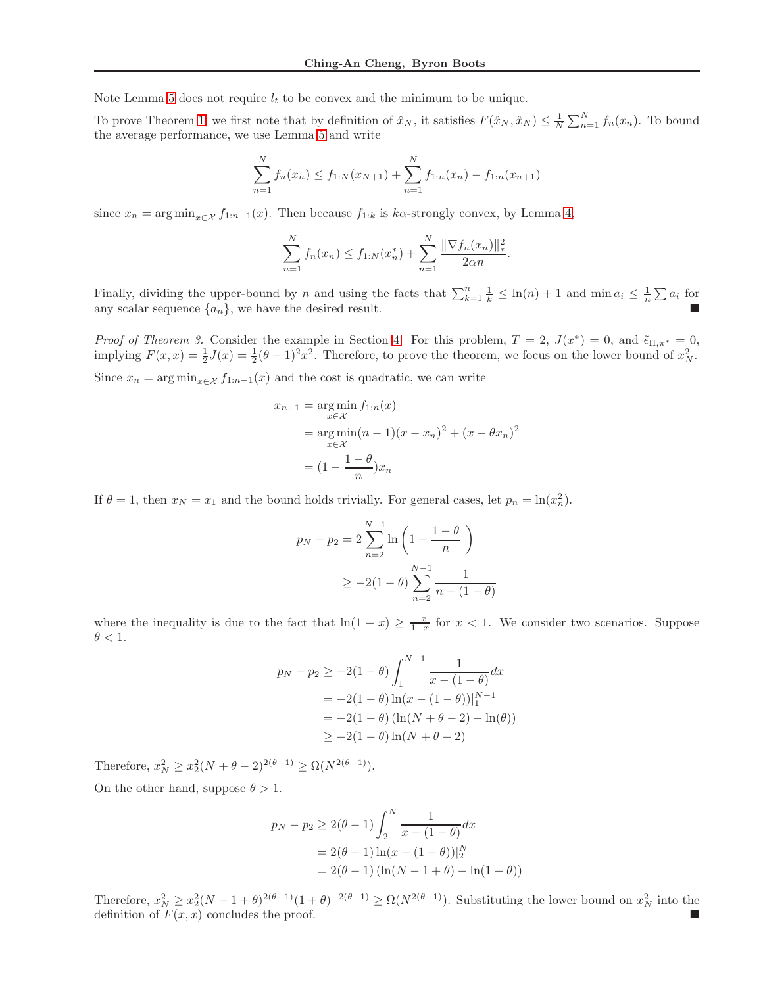Note Lemma [5](#page-9-2) does not require  $l_t$  to be convex and the minimum to be unique.

To prove Theorem [1,](#page-4-4) we first note that by definition of  $\hat{x}_N$ , it satisfies  $F(\hat{x}_N, \hat{x}_N) \leq \frac{1}{N} \sum_{n=1}^N f_n(x_n)$ . To bound the average performance, we use Lemma [5](#page-9-2) and write

$$
\sum_{n=1}^{N} f_n(x_n) \le f_{1:N}(x_{N+1}) + \sum_{n=1}^{N} f_{1:n}(x_n) - f_{1:n}(x_{n+1})
$$

since  $x_n = \arg \min_{x \in \mathcal{X}} f_{1:n-1}(x)$ . Then because  $f_{1:k}$  is ka-strongly convex, by Lemma [4,](#page-9-1)

$$
\sum_{n=1}^{N} f_n(x_n) \le f_{1:N}(x_n^*) + \sum_{n=1}^{N} \frac{\|\nabla f_n(x_n)\|_{*}^2}{2\alpha n}.
$$

Finally, dividing the upper-bound by n and using the facts that  $\sum_{k=1}^{n} \frac{1}{k} \leq \ln(n) + 1$  and  $\min a_i \leq \frac{1}{n} \sum a_i$  for any scalar sequence  $\{a_n\}$ , we have the desired result.

*Proof of Theorem 3.* Consider the example in Section [4.](#page-2-0) For this problem,  $T = 2$ ,  $J(x^*) = 0$ , and  $\tilde{\epsilon}_{\Pi,\pi^*} = 0$ , implying  $F(x,x) = \frac{1}{2}J(x) = \frac{1}{2}(\theta - 1)^2 x^2$ . Therefore, to prove the theorem, we focus on the lower bound of  $x_N^2$ . Since  $x_n = \arg \min_{x \in \mathcal{X}} f_{1:n-1}(x)$  and the cost is quadratic, we can write

$$
x_{n+1} = \underset{x \in \mathcal{X}}{\arg \min} f_{1:n}(x)
$$
  
= 
$$
\underset{x \in \mathcal{X}}{\arg \min} (n-1)(x - x_n)^2 + (x - \theta x_n)^2
$$
  
= 
$$
(1 - \frac{1 - \theta}{n})x_n
$$

If  $\theta = 1$ , then  $x_N = x_1$  and the bound holds trivially. For general cases, let  $p_n = \ln(x_n^2)$ .

$$
p_N - p_2 = 2 \sum_{n=2}^{N-1} \ln \left( 1 - \frac{1-\theta}{n} \right)
$$
  
 
$$
\geq -2(1-\theta) \sum_{n=2}^{N-1} \frac{1}{n - (1-\theta)}
$$

where the inequality is due to the fact that  $\ln(1-x) \ge \frac{-x}{1-x}$  for  $x < 1$ . We consider two scenarios. Suppose  $\theta < 1$ .

$$
p_N - p_2 \ge -2(1 - \theta) \int_1^{N-1} \frac{1}{x - (1 - \theta)} dx
$$
  
= -2(1 - \theta) ln(x - (1 - \theta))\Big|\_1^{N-1}  
= -2(1 - \theta) (ln(N + \theta - 2) - ln(\theta))  
 $\ge -2(1 - \theta) ln(N + \theta - 2)$ 

Therefore,  $x_N^2 \ge x_2^2(N + \theta - 2)^{2(\theta - 1)} \ge \Omega(N^{2(\theta - 1)}).$ On the other hand, suppose  $\theta > 1$ .

$$
p_N - p_2 \ge 2(\theta - 1) \int_2^N \frac{1}{x - (1 - \theta)} dx
$$
  
= 2(\theta - 1) \ln(x - (1 - \theta))|\_2^N  
= 2(\theta - 1) (\ln(N - 1 + \theta) - \ln(1 + \theta))

Therefore,  $x_N^2 \ge x_2^2(N-1+\theta)^{2(\theta-1)}(1+\theta)^{-2(\theta-1)} \ge \Omega(N^{2(\theta-1)})$ . Substituting the lower bound on  $x_N^2$  into the definition of  $F(x, x)$  concludes the proof.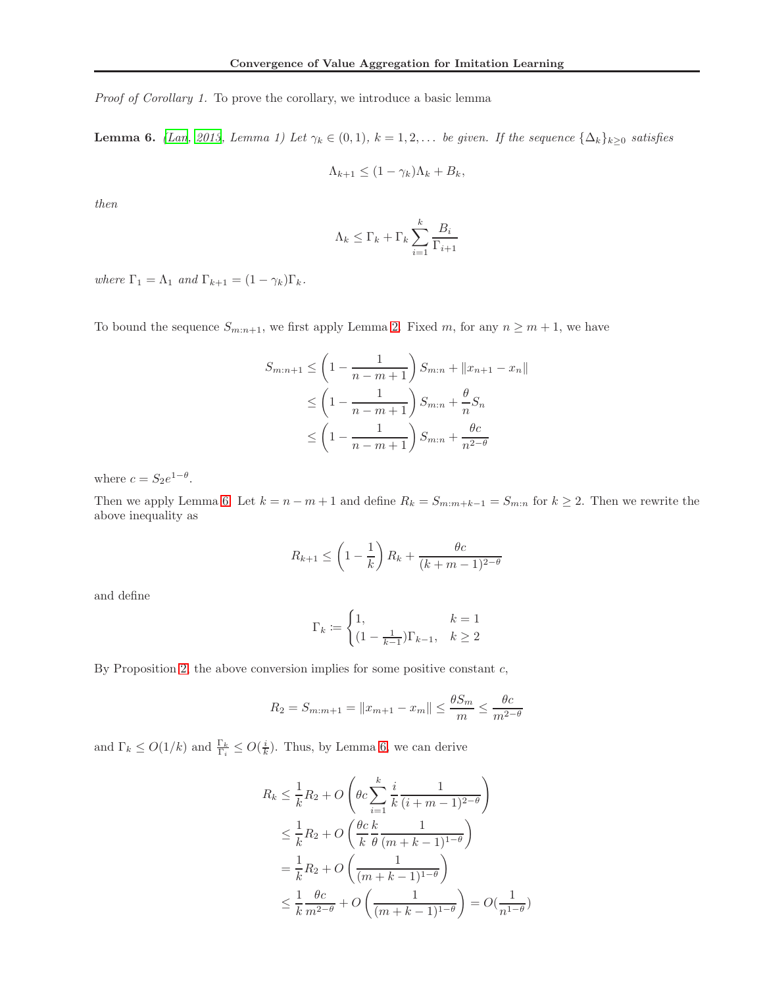Proof of Corollary 1. To prove the corollary, we introduce a basic lemma

<span id="page-11-0"></span>**Lemma 6.** [\(Lan, 2013](#page-8-22), Lemma 1) Let  $\gamma_k \in (0,1)$ ,  $k = 1,2,...$  be given. If the sequence  $\{\Delta_k\}_{k\geq 0}$  satisfies

$$
\Lambda_{k+1} \leq (1 - \gamma_k)\Lambda_k + B_k,
$$

then

$$
\Lambda_k \leq \Gamma_k + \Gamma_k \sum_{i=1}^k \frac{B_i}{\Gamma_{i+1}}
$$

where  $\Gamma_1 = \Lambda_1$  and  $\Gamma_{k+1} = (1 - \gamma_k)\Gamma_k$ .

To bound the sequence  $S_{m:n+1}$ , we first apply Lemma [2.](#page-5-0) Fixed m, for any  $n \geq m+1$ , we have

$$
S_{m:n+1} \le \left(1 - \frac{1}{n - m + 1}\right) S_{m:n} + ||x_{n+1} - x_n||
$$
  
\n
$$
\le \left(1 - \frac{1}{n - m + 1}\right) S_{m:n} + \frac{\theta}{n} S_n
$$
  
\n
$$
\le \left(1 - \frac{1}{n - m + 1}\right) S_{m:n} + \frac{\theta c}{n^{2 - \theta}}
$$

where  $c = S_2 e^{1-\theta}$ .

Then we apply Lemma [6.](#page-11-0) Let  $k = n - m + 1$  and define  $R_k = S_{m:m+k-1} = S_{m:n}$  for  $k \ge 2$ . Then we rewrite the above inequality as

$$
R_{k+1} \le \left(1 - \frac{1}{k}\right)R_k + \frac{\theta c}{(k+m-1)^{2-\theta}}
$$

and define

$$
\Gamma_k := \begin{cases} 1, & k = 1 \\ (1 - \frac{1}{k-1})\Gamma_{k-1}, & k \ge 2 \end{cases}
$$

By Proposition [2,](#page-5-1) the above conversion implies for some positive constant  $c$ ,

$$
R_2 = S_{m:m+1} = ||x_{m+1} - x_m|| \le \frac{\theta S_m}{m} \le \frac{\theta c}{m^{2-\theta}}
$$

and  $\Gamma_k \leq O(1/k)$  and  $\frac{\Gamma_k}{\Gamma_i} \leq O(\frac{i}{k})$ . Thus, by Lemma [6,](#page-11-0) we can derive

$$
R_k \le \frac{1}{k} R_2 + O\left(\theta c \sum_{i=1}^k \frac{i}{k} \frac{1}{(i+m-1)^{2-\theta}}\right)
$$
  

$$
\le \frac{1}{k} R_2 + O\left(\frac{\theta c}{k} \frac{k}{\theta} \frac{1}{(m+k-1)^{1-\theta}}\right)
$$
  

$$
= \frac{1}{k} R_2 + O\left(\frac{1}{(m+k-1)^{1-\theta}}\right)
$$
  

$$
\le \frac{1}{k} \frac{\theta c}{m^{2-\theta}} + O\left(\frac{1}{(m+k-1)^{1-\theta}}\right) = O\left(\frac{1}{n^{1-\theta}}\right)
$$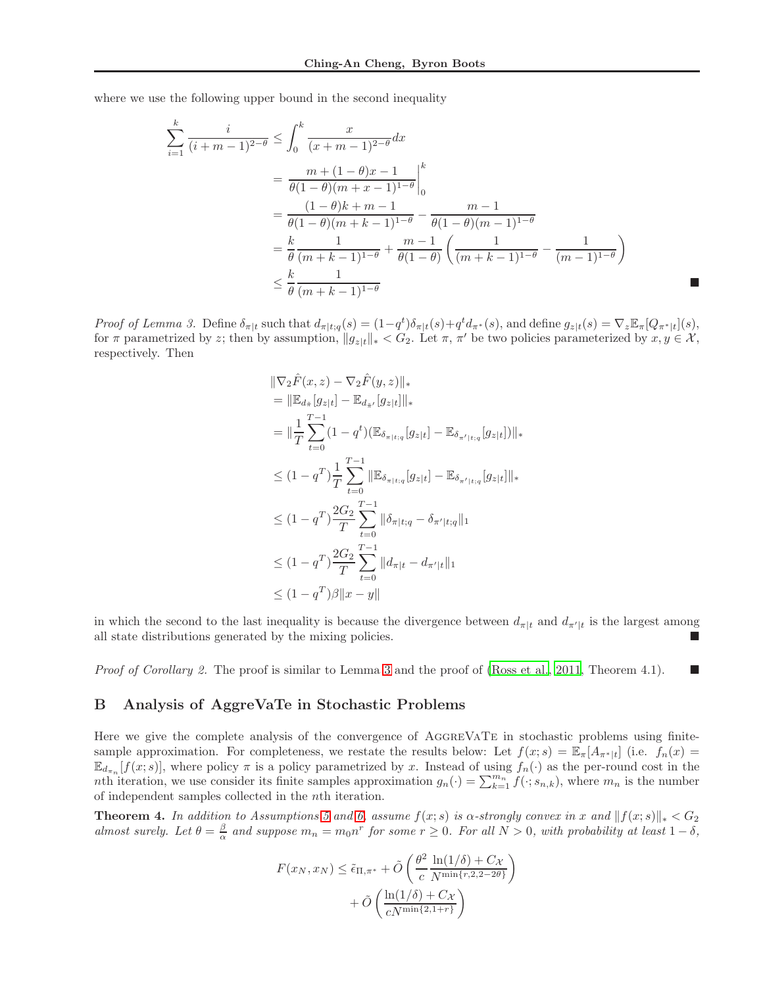where we use the following upper bound in the second inequality

$$
\sum_{i=1}^{k} \frac{i}{(i+m-1)^{2-\theta}} \le \int_0^k \frac{x}{(x+m-1)^{2-\theta}} dx
$$
  
=  $\frac{m + (1-\theta)x - 1}{\theta(1-\theta)(m+x-1)^{1-\theta}} \Big|_0^k$   
=  $\frac{(1-\theta)k + m - 1}{\theta(1-\theta)(m+k-1)^{1-\theta}} - \frac{m-1}{\theta(1-\theta)(m-1)^{1-\theta}}$   
=  $\frac{k}{\theta} \frac{1}{(m+k-1)^{1-\theta}} + \frac{m-1}{\theta(1-\theta)} \left( \frac{1}{(m+k-1)^{1-\theta}} - \frac{1}{(m-1)^{1-\theta}} \right)$   
 $\le \frac{k}{\theta} \frac{1}{(m+k-1)^{1-\theta}}$ 

Proof of Lemma 3. Define  $\delta_{\pi|t}$  such that  $d_{\pi|t;q}(s) = (1-q^t)\delta_{\pi|t}(s) + q^t d_{\pi^*}(s)$ , and define  $g_{z|t}(s) = \nabla_z \mathbb{E}_{\pi}[Q_{\pi^*|t}](s)$ , for  $\pi$  parametrized by z; then by assumption,  $||g_{z|t}||_* < G_2$ . Let  $\pi$ ,  $\pi'$  be two policies parameterized by  $x, y \in \mathcal{X}$ , respectively. Then

$$
\|\nabla_2 \hat{F}(x, z) - \nabla_2 \hat{F}(y, z)\|_{*}
$$
\n
$$
= \|\mathbb{E}_{d_{\tilde{\pi}}} [g_{z|t}] - \mathbb{E}_{d_{\tilde{\pi}'}} [g_{z|t}] \|_{*}
$$
\n
$$
= \|\frac{1}{T} \sum_{t=0}^{T-1} (1 - q^t) (\mathbb{E}_{\delta_{\pi|t;q}} [g_{z|t}] - \mathbb{E}_{\delta_{\pi'|t;q}} [g_{z|t}] )\|_{*}
$$
\n
$$
\leq (1 - q^T) \frac{1}{T} \sum_{t=0}^{T-1} \|\mathbb{E}_{\delta_{\pi|t;q}} [g_{z|t}] - \mathbb{E}_{\delta_{\pi'|t;q}} [g_{z|t}] \|_{*}
$$
\n
$$
\leq (1 - q^T) \frac{2G_2}{T} \sum_{t=0}^{T-1} \|\delta_{\pi|t;q} - \delta_{\pi'|t;q}\|_{1}
$$
\n
$$
\leq (1 - q^T) \frac{2G_2}{T} \sum_{t=0}^{T-1} \|d_{\pi|t} - d_{\pi'|t}\|_{1}
$$
\n
$$
\leq (1 - q^T) \beta \|x - y\|
$$

in which the second to the last inequality is because the divergence between  $d_{\pi|t}$  and  $d_{\pi'|t}$  is the largest among all state distributions generated by the mixing policies.

<span id="page-12-0"></span>*Proof of Corollary 2.* The proof is similar to Lemma [3](#page-7-2) and the proof of [\(Ross et al.](#page-8-5), [2011](#page-8-5), Theorem 4.1).

### B Analysis of AggreVaTe in Stochastic Problems

Here we give the complete analysis of the convergence of AGGREVATE in stochastic problems using finitesample approximation. For completeness, we restate the results below: Let  $f(x; s) = \mathbb{E}_{\pi}[A_{\pi^*|t}]$  (i.e.  $f_n(x) =$  $\mathbb{E}_{d_{\pi_n}}[f(x; s)]$ , where policy  $\pi$  is a policy parametrized by x. Instead of using  $f_n(\cdot)$  as the per-round cost in the nth iteration, we use consider its finite samples approximation  $g_n(\cdot) = \sum_{k=1}^{m_n} f(\cdot; s_{n,k})$ , where  $m_n$  is the number of independent samples collected in the nth iteration.

**Theorem 4.** In addition to Assumptions [5](#page-4-1) and [6,](#page-4-2) assume  $f(x; s)$  is  $\alpha$ -strongly convex in x and  $||f(x; s)||_* < G_2$ almost surely. Let  $\theta = \frac{\beta}{\alpha}$  and suppose  $m_n = m_0 n^r$  for some  $r \ge 0$ . For all  $N > 0$ , with probability at least  $1 - \delta$ ,

$$
F(x_N, x_N) \leq \tilde{\epsilon}_{\Pi, \pi^*} + \tilde{O}\left(\frac{\theta^2}{c} \frac{\ln(1/\delta) + C_{\mathcal{X}}}{N^{\min\{r, 2, 2 - 2\theta\}}}\right) + \tilde{O}\left(\frac{\ln(1/\delta) + C_{\mathcal{X}}}{cN^{\min\{2, 1 + r\}}}\right)
$$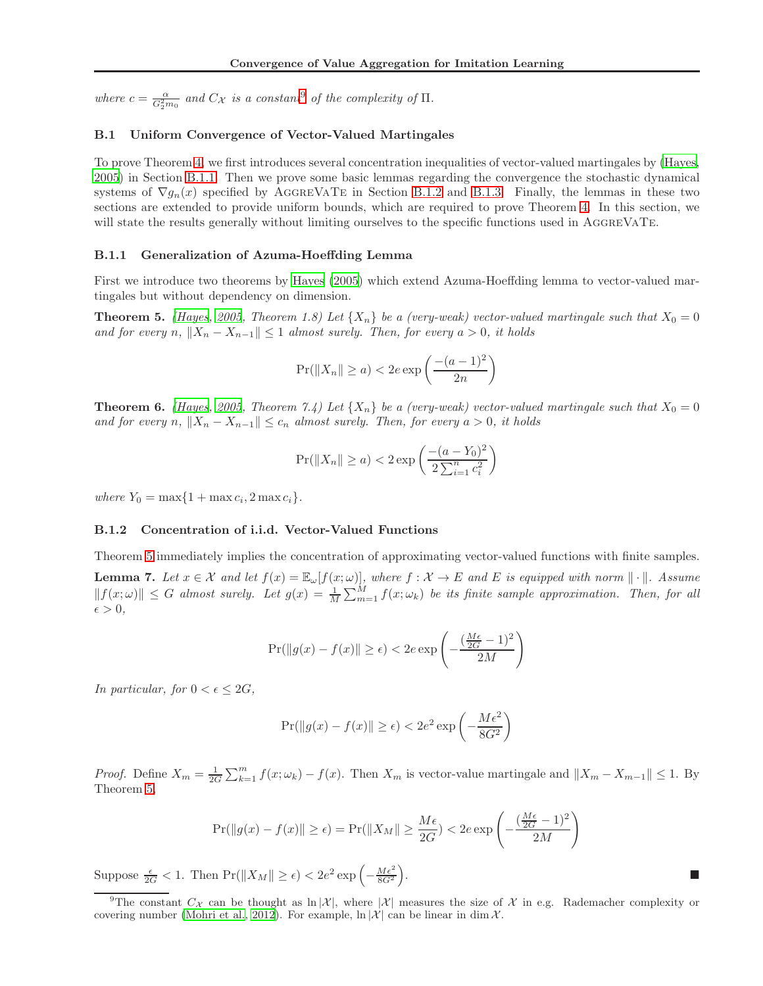where  $c = \frac{\alpha}{G_2^2 m_0}$  and  $C_{\mathcal{X}}$  is a constant<sup>[9](#page-13-0)</sup> of the complexity of  $\Pi$ .

#### B.1 Uniform Convergence of Vector-Valued Martingales

To prove Theorem [4,](#page-6-2) we first introduces several concentration inequalities of vector-valued martingales by [\(Hayes,](#page-8-17) [2005\)](#page-8-17) in Section [B.1.1.](#page-13-1) Then we prove some basic lemmas regarding the convergence the stochastic dynamical systems of  $\nabla g_n(x)$  specified by AGGREVATE in Section [B.1.2](#page-13-2) and [B.1.3.](#page-14-0) Finally, the lemmas in these two sections are extended to provide uniform bounds, which are required to prove Theorem [4.](#page-6-2) In this section, we will state the results generally without limiting ourselves to the specific functions used in AGGREVATE.

#### <span id="page-13-1"></span>B.1.1 Generalization of Azuma-Hoeffding Lemma

First we introduce two theorems by [Hayes \(2005\)](#page-8-17) which extend Azuma-Hoeffding lemma to vector-valued martingales but without dependency on dimension.

<span id="page-13-3"></span>**Theorem 5.** [\(Hayes](#page-8-17), [2005](#page-8-17), Theorem 1.8) Let  $\{X_n\}$  be a (very-weak) vector-valued martingale such that  $X_0 = 0$ and for every n,  $||X_n - X_{n-1}|| \leq 1$  almost surely. Then, for every  $a > 0$ , it holds

$$
\Pr(||X_n|| \ge a) < 2e \exp\left(\frac{-(a-1)^2}{2n}\right)
$$

<span id="page-13-4"></span>**Theorem 6.** [\(Hayes](#page-8-17), [2005](#page-8-17), Theorem 7.4) Let  $\{X_n\}$  be a (very-weak) vector-valued martingale such that  $X_0 = 0$ and for every n,  $||X_n - X_{n-1}|| \leq c_n$  almost surely. Then, for every  $a > 0$ , it holds

$$
\Pr(||X_n|| \ge a) < 2 \exp\left(\frac{-(a - Y_0)^2}{2 \sum_{i=1}^n c_i^2}\right)
$$

<span id="page-13-2"></span>where  $Y_0 = \max\{1 + \max c_i, 2 \max c_i\}.$ 

#### B.1.2 Concentration of i.i.d. Vector-Valued Functions

Theorem [5](#page-13-3) immediately implies the concentration of approximating vector-valued functions with finite samples.

<span id="page-13-5"></span>**Lemma 7.** Let  $x \in \mathcal{X}$  and let  $f(x) = \mathbb{E}_{\omega}[f(x; \omega)]$ , where  $f : \mathcal{X} \to E$  and E is equipped with norm  $\|\cdot\|$ . Assume  $|| f(x; \omega) || \leq G$  almost surely. Let  $g(x) = \frac{1}{M} \sum_{m=1}^{M} f(x; \omega_k)$  be its finite sample approximation. Then, for all  $\epsilon > 0$ ,

$$
\Pr(\|g(x) - f(x)\| \ge \epsilon) < 2e \exp\left(-\frac{\left(\frac{M\epsilon}{2G} - 1\right)^2}{2M}\right)
$$

In particular, for  $0 < \epsilon \leq 2G$ ,

$$
\Pr(||g(x) - f(x)|| \ge \epsilon) < 2e^2 \exp\left(-\frac{M\epsilon^2}{8G^2}\right)
$$

*Proof.* Define  $X_m = \frac{1}{2G} \sum_{k=1}^m f(x; \omega_k) - f(x)$ . Then  $X_m$  is vector-value martingale and  $||X_m - X_{m-1}|| \le 1$ . By Theorem [5,](#page-13-3)

$$
\Pr(\|g(x) - f(x)\| \ge \epsilon) = \Pr(\|X_M\| \ge \frac{M\epsilon}{2G}) < 2e \exp\left(-\frac{\left(\frac{M\epsilon}{2G} - 1\right)^2}{2M}\right)
$$

Suppose  $\frac{\epsilon}{2G} < 1$ . Then  $\Pr(\|X_M\| \geq \epsilon) < 2e^2 \exp\left(-\frac{M\epsilon^2}{8G^2}\right)$ 

.

<span id="page-13-0"></span><sup>&</sup>lt;sup>9</sup>The constant  $C_{\mathcal{X}}$  can be thought as  $\ln |\mathcal{X}|$ , where  $|\mathcal{X}|$  measures the size of  $\mathcal{X}$  in e.g. Rademacher complexity or covering number [\(Mohri et al., 2012\)](#page-8-18). For example,  $\ln |\mathcal{X}|$  can be linear in dim X.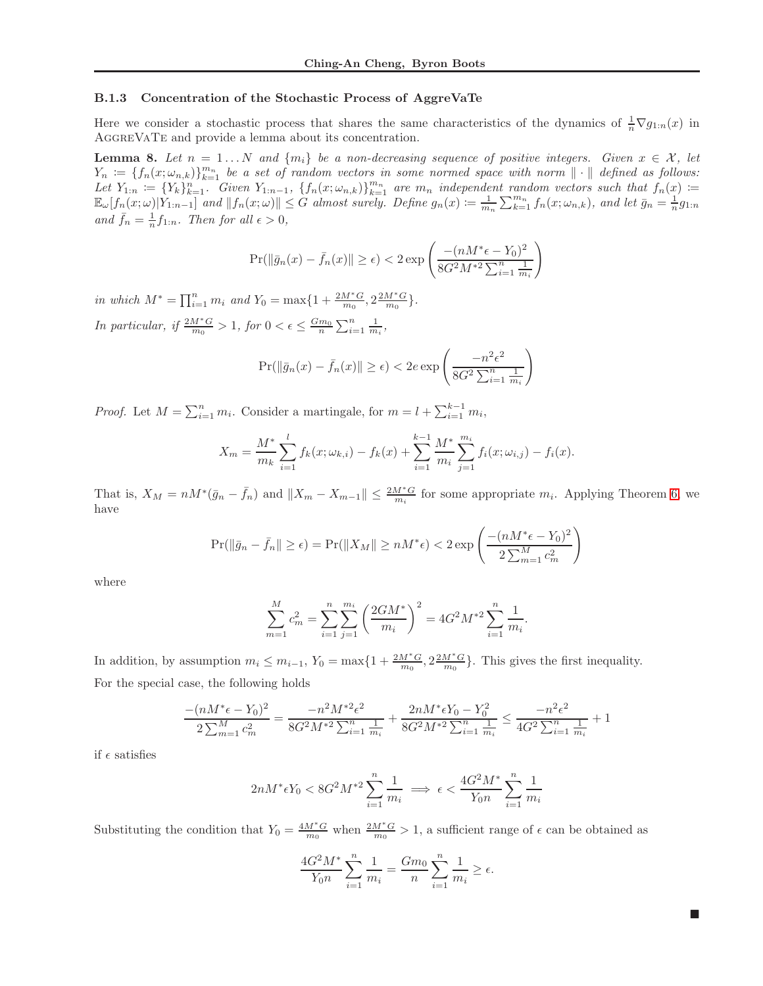#### <span id="page-14-0"></span>B.1.3 Concentration of the Stochastic Process of AggreVaTe

Here we consider a stochastic process that shares the same characteristics of the dynamics of  $\frac{1}{n} \nabla g_{1:n}(x)$  in AGGREVATE and provide a lemma about its concentration.

<span id="page-14-1"></span>**Lemma 8.** Let  $n = 1...N$  and  $\{m_i\}$  be a non-decreasing sequence of positive integers. Given  $x \in \mathcal{X}$ , let  $Y_n := \{f_n(x; \omega_{n,k})\}_{k=1}^{m_n}$  be a set of random vectors in some normed space with norm  $\|\cdot\|$  defined as follows: Let  $Y_{1:n} := \{Y_k\}_{k=1}^n$ . Given  $Y_{1:n-1}$ ,  $\{f_n(x; \omega_{n,k})\}_{k=1}^{m_n}$  are  $m_n$  independent random vectors such that  $f_n(x) :=$  $\mathbb{E}_{\omega}[f_n(x;\omega)|Y_{1:n-1}]$  and  $||f_n(x;\omega)|| \leq G$  almost surely. Define  $g_n(x) := \frac{1}{m_n} \sum_{k=1}^{m_n} f_n(x;\omega_{n,k})$ , and let  $\bar{g}_n = \frac{1}{n}g_{1:n}$ and  $\bar{f}_n = \frac{1}{n} f_{1:n}$ . Then for all  $\epsilon > 0$ ,

$$
\Pr(\|\bar{g}_n(x) - \bar{f}_n(x)\| \ge \epsilon) < 2 \exp\left(\frac{-(nM^*\epsilon - Y_0)^2}{8G^2M^{*2}\sum_{i=1}^n \frac{1}{m_i}}\right)
$$

in which  $M^* = \prod_{i=1}^n m_i$  and  $Y_0 = \max\{1 + \frac{2M^*G}{m_0}, 2\frac{2M^*G}{m_0}\}.$ In particular, if  $\frac{2M^*G}{m_0} > 1$ , for  $0 < \epsilon \leq \frac{Gm_0}{n} \sum_{i=1}^n \frac{1}{m_i}$ ,

$$
\Pr(\|\bar{g}_n(x) - \bar{f}_n(x)\| \ge \epsilon) < 2e \exp\left(\frac{-n^2 \epsilon^2}{8G^2 \sum_{i=1}^n \frac{1}{m_i}}\right)
$$

*Proof.* Let  $M = \sum_{i=1}^{n} m_i$ . Consider a martingale, for  $m = l + \sum_{i=1}^{k-1} m_i$ ,

$$
X_m = \frac{M^*}{m_k} \sum_{i=1}^l f_k(x; \omega_{k,i}) - f_k(x) + \sum_{i=1}^{k-1} \frac{M^*}{m_i} \sum_{j=1}^{m_i} f_i(x; \omega_{i,j}) - f_i(x).
$$

That is,  $X_M = nM^*(\bar{g}_n - \bar{f}_n)$  and  $||X_m - X_{m-1}|| \leq \frac{2M^*G}{m_i}$  for some appropriate  $m_i$ . Applying Theorem [6,](#page-13-4) we have

$$
\Pr(||\bar{g}_n - \bar{f}_n|| \ge \epsilon) = \Pr(||X_M|| \ge nM^*\epsilon) < 2\exp\left(\frac{-(nM^*\epsilon - Y_0)^2}{2\sum_{m=1}^M c_m^2}\right)
$$

where

$$
\sum_{m=1}^{M} c_m^2 = \sum_{i=1}^{n} \sum_{j=1}^{m_i} \left( \frac{2GM^*}{m_i} \right)^2 = 4G^2 M^{*2} \sum_{i=1}^{n} \frac{1}{m_i}.
$$

In addition, by assumption  $m_i \leq m_{i-1}$ ,  $Y_0 = \max\{1 + \frac{2M^*G}{m_0}, \frac{2M^*G}{m_0}\}\.$  This gives the first inequality. For the special case, the following holds

$$
\frac{-(nM^*\epsilon - Y_0)^2}{2\sum_{m=1}^M c_m^2} = \frac{-n^2M^{*2}\epsilon^2}{8G^2M^{*2}\sum_{i=1}^n \frac{1}{m_i}} + \frac{2nM^*\epsilon Y_0 - Y_0^2}{8G^2M^{*2}\sum_{i=1}^n \frac{1}{m_i}} \le \frac{-n^2\epsilon^2}{4G^2\sum_{i=1}^n \frac{1}{m_i}} + 1
$$

if  $\epsilon$  satisfies

$$
2nM^* \epsilon Y_0 < 8G^2 M^{*2} \sum_{i=1}^n \frac{1}{m_i} \implies \epsilon < \frac{4G^2M^*}{Y_0 n} \sum_{i=1}^n \frac{1}{m_i}
$$

Substituting the condition that  $Y_0 = \frac{4M^*G}{m_0}$  when  $\frac{2M^*G}{m_0} > 1$ , a sufficient range of  $\epsilon$  can be obtained as

$$
\frac{4G^2M^*}{Y_0n}\sum_{i=1}^n\frac{1}{m_i} = \frac{Gm_0}{n}\sum_{i=1}^n\frac{1}{m_i} \ge \epsilon.
$$

 $\blacksquare$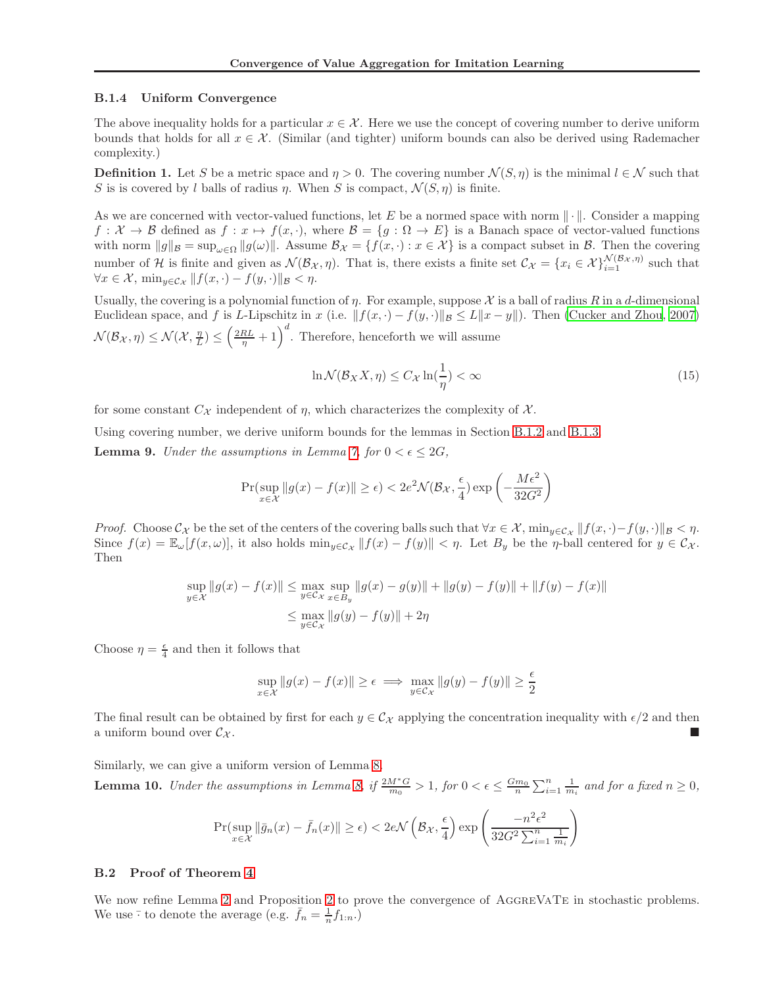#### <span id="page-15-0"></span>B.1.4 Uniform Convergence

The above inequality holds for a particular  $x \in \mathcal{X}$ . Here we use the concept of covering number to derive uniform bounds that holds for all  $x \in \mathcal{X}$ . (Similar (and tighter) uniform bounds can also be derived using Rademacher complexity.)

**Definition 1.** Let S be a metric space and  $\eta > 0$ . The covering number  $\mathcal{N}(S, \eta)$  is the minimal  $l \in \mathcal{N}$  such that S is is covered by l balls of radius  $\eta$ . When S is compact,  $\mathcal{N}(S, \eta)$  is finite.

As we are concerned with vector-valued functions, let E be a normed space with norm  $\|\cdot\|$ . Consider a mapping  $f: \mathcal{X} \to \mathcal{B}$  defined as  $f: x \mapsto f(x, \cdot)$ , where  $\mathcal{B} = \{g: \Omega \to E\}$  is a Banach space of vector-valued functions with norm  $||g||_{\mathcal{B}} = \sup_{\omega \in \Omega} ||g(\omega)||$ . Assume  $\mathcal{B}_{\mathcal{X}} = \{f(x, \cdot) : x \in \mathcal{X}\}\$ is a compact subset in  $\mathcal{B}$ . Then the covering number of H is finite and given as  $\mathcal{N}(\mathcal{B}_{\mathcal{X}}, \eta)$ . That is, there exists a finite set  $\mathcal{C}_{\mathcal{X}} = \{x_i \in \mathcal{X}\}_{i=1}^{\mathcal{N}(\mathcal{B}_{\mathcal{X}}, \eta)}$  such that  $\forall x \in \mathcal{X}, \min_{y \in \mathcal{C}_{\mathcal{X}}} || f(x, \cdot) - f(y, \cdot) ||_{\mathcal{B}} < \eta.$ 

Usually, the covering is a polynomial function of  $\eta$ . For example, suppose X is a ball of radius R in a d-dimensional Euclidean space, and f is L-Lipschitz in x (i.e.  $||f(x, \cdot) - f(y, \cdot)||_B \le L||x - y||$ ). Then [\(Cucker and Zhou, 2007\)](#page-8-23)  $\mathcal{N}(\mathcal{B}_{\mathcal{X}}, \eta) \leq \mathcal{N}(\mathcal{X}, \frac{\eta}{L}) \leq \left(\frac{2RL}{\eta} + 1\right)^d$ . Therefore, henceforth we will assume

$$
\ln \mathcal{N}(\mathcal{B}_X X, \eta) \le C_{\mathcal{X}} \ln(\frac{1}{\eta}) < \infty \tag{15}
$$

for some constant  $C_{\mathcal{X}}$  independent of  $\eta$ , which characterizes the complexity of  $\mathcal{X}$ .

Using covering number, we derive uniform bounds for the lemmas in Section [B.1.2](#page-13-2) and [B.1.3.](#page-14-0)

**Lemma 9.** Under the assumptions in Lemma [7,](#page-13-5) for  $0 < \epsilon \leq 2G$ ,

$$
\Pr(\sup_{x \in \mathcal{X}} \|g(x) - f(x)\| \ge \epsilon) < 2e^{2} \mathcal{N}(\mathcal{B}_{\mathcal{X}}, \frac{\epsilon}{4}) \exp\left(-\frac{M\epsilon^{2}}{32G^{2}}\right)
$$

*Proof.* Choose  $\mathcal{C}_{\mathcal{X}}$  be the set of the centers of the covering balls such that  $\forall x \in \mathcal{X}$ ,  $\min_{y \in \mathcal{C}_{\mathcal{X}}} ||f(x, \cdot) - f(y, \cdot)||_{\mathcal{B}} < \eta$ . Since  $f(x) = \mathbb{E}_{\omega}[f(x,\omega)]$ , it also holds  $\min_{y \in \mathcal{C}_{\mathcal{X}}} ||f(x) - f(y)|| < \eta$ . Let  $B_y$  be the  $\eta$ -ball centered for  $y \in \mathcal{C}_{\mathcal{X}}$ . Then

$$
\sup_{y \in \mathcal{X}} \|g(x) - f(x)\| \le \max_{y \in \mathcal{C}_{\mathcal{X}}} \sup_{x \in B_y} \|g(x) - g(y)\| + \|g(y) - f(y)\| + \|f(y) - f(x)\|
$$
  

$$
\le \max_{y \in \mathcal{C}_{\mathcal{X}}} \|g(y) - f(y)\| + 2\eta
$$

Choose  $\eta = \frac{\epsilon}{4}$  and then it follows that

$$
\sup_{x \in \mathcal{X}} \|g(x) - f(x)\| \ge \epsilon \implies \max_{y \in \mathcal{C}_{\mathcal{X}}} \|g(y) - f(y)\| \ge \frac{\epsilon}{2}
$$

The final result can be obtained by first for each  $y \in C_{\mathcal{X}}$  applying the concentration inequality with  $\epsilon/2$  and then a uniform bound over  $\mathcal{C}_{\mathcal{X}}$ .

<span id="page-15-1"></span>Similarly, we can give a uniform version of Lemma [8.](#page-14-1) **Lemma 10.** Under the assumptions in Lemma [8,](#page-14-1) if  $\frac{2M^*G}{m_0} > 1$ , for  $0 < \epsilon \leq \frac{Gm_0}{n} \sum_{i=1}^n \frac{1}{m_i}$  and for a fixed  $n \geq 0$ ,

$$
\Pr(\sup_{x \in \mathcal{X}} \|\bar{g}_n(x) - \bar{f}_n(x)\| \ge \epsilon) < 2e\mathcal{N}\left(\mathcal{B}_{\mathcal{X}}, \frac{\epsilon}{4}\right) \exp\left(\frac{-n^2\epsilon^2}{32G^2\sum_{i=1}^n \frac{1}{m_i}}\right)
$$

#### B.2 Proof of Theorem [4](#page-6-2)

We now refine Lemma [2](#page-5-1) and Proposition 2 to prove the convergence of AGGREVATE in stochastic problems. We use  $\overline{\cdot}$  to denote the average (e.g.  $\overline{f}_n = \frac{1}{n} f_{1:n}$ .)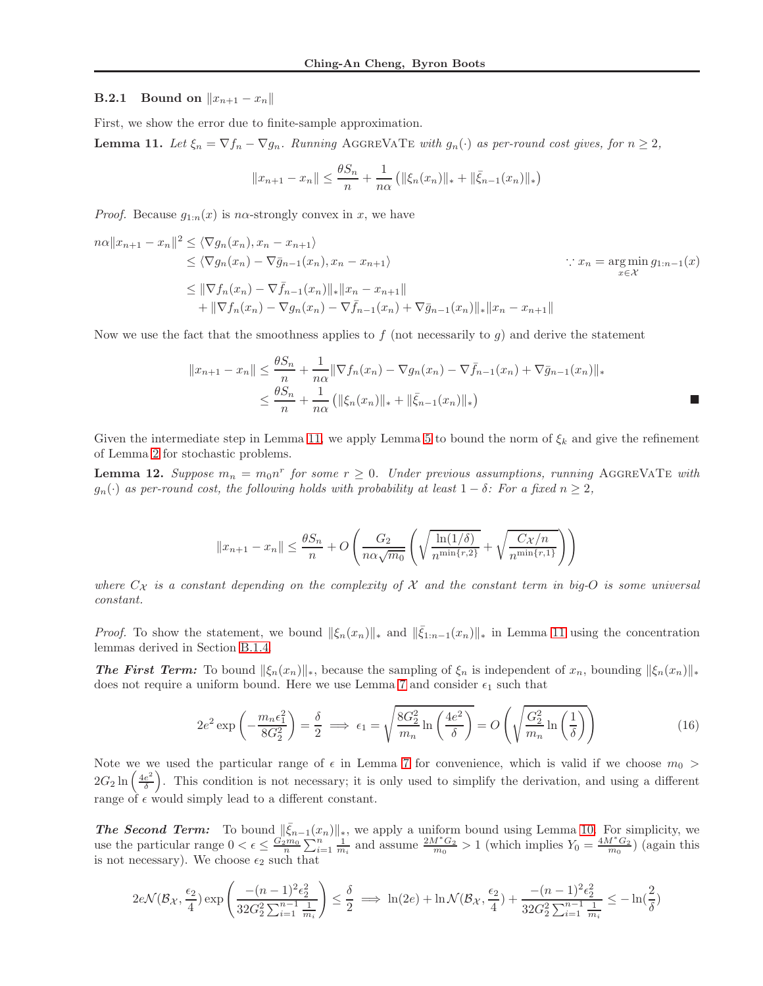#### **B.2.1** Bound on  $||x_{n+1} - x_n||$

First, we show the error due to finite-sample approximation.

<span id="page-16-0"></span>**Lemma 11.** Let  $\xi_n = \nabla f_n - \nabla g_n$ . Running AGGREVATE with  $g_n(\cdot)$  as per-round cost gives, for  $n \geq 2$ ,

$$
||x_{n+1} - x_n|| \le \frac{\theta S_n}{n} + \frac{1}{n\alpha} (||\xi_n(x_n)||_* + ||\bar{\xi}_{n-1}(x_n)||_*)
$$

*Proof.* Because  $g_{1:n}(x)$  is n $\alpha$ -strongly convex in x, we have

$$
n\alpha ||x_{n+1} - x_n||^2 \le \langle \nabla g_n(x_n), x_n - x_{n+1} \rangle
$$
  
\n
$$
\le \langle \nabla g_n(x_n) - \nabla \bar{g}_{n-1}(x_n), x_n - x_{n+1} \rangle
$$
  
\n
$$
\le ||\nabla f_n(x_n) - \nabla \bar{f}_{n-1}(x_n)||_* ||x_n - x_{n+1}||
$$
  
\n
$$
+ ||\nabla f_n(x_n) - \nabla g_n(x_n) - \nabla \bar{f}_{n-1}(x_n) + \nabla \bar{g}_{n-1}(x_n)||_* ||x_n - x_{n+1}||
$$
  
\n
$$
\le ||\nabla f_n(x_n) - \nabla g_n(x_n) - \nabla \bar{f}_{n-1}(x_n) + \nabla \bar{g}_{n-1}(x_n)||_* ||x_n - x_{n+1}||
$$

Now we use the fact that the smoothness applies to  $f$  (not necessarily to  $g$ ) and derive the statement

$$
||x_{n+1} - x_n|| \le \frac{\theta S_n}{n} + \frac{1}{n\alpha} ||\nabla f_n(x_n) - \nabla g_n(x_n) - \nabla \bar{f}_{n-1}(x_n) + \nabla \bar{g}_{n-1}(x_n)||_*\n\le \frac{\theta S_n}{n} + \frac{1}{n\alpha} (||\xi_n(x_n)||_* + ||\bar{\xi}_{n-1}(x_n)||_*)
$$

Given the intermediate step in Lemma [11,](#page-16-0) we apply Lemma [5](#page-13-3) to bound the norm of  $\xi_k$  and give the refinement of Lemma [2](#page-5-0) for stochastic problems.

<span id="page-16-1"></span>**Lemma 12.** Suppose  $m_n = m_0 n^r$  for some  $r \ge 0$ . Under previous assumptions, running AGGREVATE with  $g_n(\cdot)$  as per-round cost, the following holds with probability at least  $1 - \delta$ : For a fixed  $n \geq 2$ ,

$$
||x_{n+1} - x_n|| \le \frac{\theta S_n}{n} + O\left(\frac{G_2}{n\alpha\sqrt{m_0}} \left(\sqrt{\frac{\ln(1/\delta)}{n^{\min\{r,2\}}}} + \sqrt{\frac{C_{\mathcal{X}}/n}{n^{\min\{r,1\}}}}\right)\right)
$$

where  $C_{\mathcal{X}}$  is a constant depending on the complexity of  $\mathcal X$  and the constant term in big-O is some universal constant.

*Proof.* To show the statement, we bound  $\|\xi_n(x_n)\|_*$  and  $\|\bar{\xi}_{1:n-1}(x_n)\|_*$  in Lemma [11](#page-16-0) using the concentration lemmas derived in Section [B.1.4.](#page-15-0)

**The First Term:** To bound  $\|\xi_n(x_n)\|_*$ , because the sampling of  $\xi_n$  is independent of  $x_n$ , bounding  $\|\xi_n(x_n)\|_*$ does not require a uniform bound. Here we use Lemma [7](#page-13-5) and consider  $\epsilon_1$  such that

$$
2e^2 \exp\left(-\frac{m_n\epsilon_1^2}{8G_2^2}\right) = \frac{\delta}{2} \implies \epsilon_1 = \sqrt{\frac{8G_2^2}{m_n} \ln\left(\frac{4e^2}{\delta}\right)} = O\left(\sqrt{\frac{G_2^2}{m_n} \ln\left(\frac{1}{\delta}\right)}\right)
$$
(16)

Note we we used the particular range of  $\epsilon$  in Lemma [7](#page-13-5) for convenience, which is valid if we choose  $m_0$  >  $2G_2\ln\left(\frac{4e^2}{\delta}\right)$  $\frac{e^2}{\delta}$ . This condition is not necessary; it is only used to simplify the derivation, and using a different range of  $\epsilon$  would simply lead to a different constant.

**The Second Term:** To bound  $\|\bar{\xi}_{n-1}(x_n)\|_{*}$ , we apply a uniform bound using Lemma [10.](#page-15-1) For simplicity, we use the particular range  $0 < \epsilon \leq \frac{G_2^{\prime m_0}}{n} \sum_{i=1}^{n} \frac{1}{m_i}$  and assume  $\frac{2M^*G_2}{m_0} > 1$  (which implies  $Y_0 = \frac{4M^*G_2}{m_0}$ ) (again this is not necessary). We choose  $\epsilon_2$  such that

$$
2e\mathcal{N}(\mathcal{B}_{\mathcal{X}}, \frac{\epsilon_2}{4}) \exp\left(\frac{-(n-1)^2 \epsilon_2^2}{32G_2^2 \sum_{i=1}^{n-1} \frac{1}{m_i}}\right) \le \frac{\delta}{2} \implies \ln(2e) + \ln \mathcal{N}(\mathcal{B}_{\mathcal{X}}, \frac{\epsilon_2}{4}) + \frac{-(n-1)^2 \epsilon_2^2}{32G_2^2 \sum_{i=1}^{n-1} \frac{1}{m_i}} \le -\ln(\frac{2}{\delta})
$$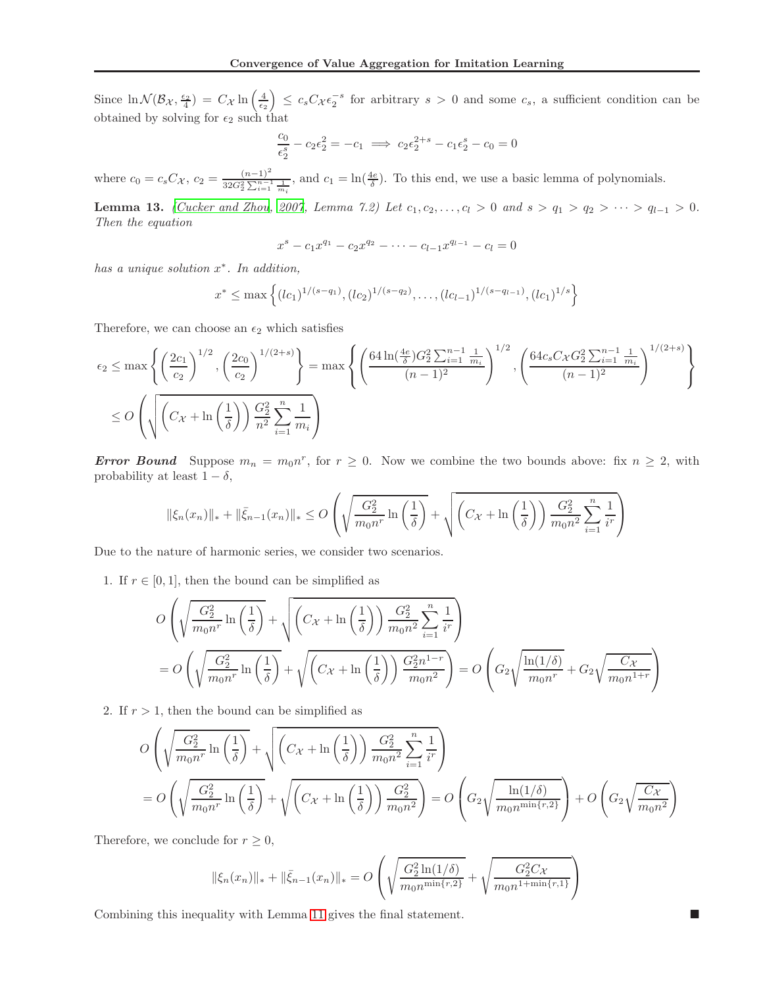Since  $\ln \mathcal{N}(\mathcal{B}_{\mathcal{X}}, \frac{\epsilon_2}{4}) = C_{\mathcal{X}} \ln \left( \frac{4}{\epsilon_2} \right) \leq c_s C_{\mathcal{X}} \epsilon_2^{-s}$  for arbitrary  $s > 0$  and some  $c_s$ , a sufficient condition can be obtained by solving for  $\epsilon_2$  such that

$$
\frac{c_0}{\epsilon_2^s} - c_2 \epsilon_2^2 = -c_1 \implies c_2 \epsilon_2^{2+s} - c_1 \epsilon_2^s - c_0 = 0
$$

where  $c_0 = c_s C_{\mathcal{X}}, c_2 = \frac{(n-1)^2}{32G_2^2 \sum_{i=1}^{n-1} \frac{1}{m_i}},$  and  $c_1 = \ln(\frac{4e}{\delta})$ . To this end, we use a basic lemma of polynomials.

Lemma 13. [\(Cucker and Zhou](#page-8-23), [2007,](#page-8-23) Lemma 7.2) Let  $c_1, c_2, ..., c_l > 0$  and  $s > q_1 > q_2 > ... > q_{l-1} > 0$ . Then the equation

$$
x^{s} - c_1 x^{q_1} - c_2 x^{q_2} - \dots - c_{l-1} x^{q_{l-1}} - c_l = 0
$$

has a unique solution  $x^*$ . In addition,

$$
x^* \le \max\left\{ (lc_1)^{1/(s-q_1)}, (lc_2)^{1/(s-q_2)}, \ldots, (lc_{l-1})^{1/(s-q_{l-1})}, (lc_1)^{1/s} \right\}
$$

Therefore, we can choose an  $\epsilon_2$  which satisfies

$$
\epsilon_2 \le \max\left\{ \left(\frac{2c_1}{c_2}\right)^{1/2}, \left(\frac{2c_0}{c_2}\right)^{1/(2+s)} \right\} = \max\left\{ \left(\frac{64\ln(\frac{4e}{\delta})G_2^2 \sum_{i=1}^{n-1} \frac{1}{m_i}}{(n-1)^2}\right)^{1/2}, \left(\frac{64c_sC_{\chi}G_2^2 \sum_{i=1}^{n-1} \frac{1}{m_i}}{(n-1)^2}\right)^{1/(2+s)} \right\}
$$
  

$$
\le O\left(\sqrt{\left(C_{\chi} + \ln\left(\frac{1}{\delta}\right)\right) \frac{G_2^2}{n^2} \sum_{i=1}^n \frac{1}{m_i}}\right)
$$

**Error Bound** Suppose  $m_n = m_0 n^r$ , for  $r \ge 0$ . Now we combine the two bounds above: fix  $n \ge 2$ , with probability at least  $1 - \delta$ ,

$$
\|\xi_n(x_n)\|_{*} + \|\bar{\xi}_{n-1}(x_n)\|_{*} \leq O\left(\sqrt{\frac{G_2^2}{m_0 n^r} \ln\left(\frac{1}{\delta}\right)} + \sqrt{\left(C_{\mathcal{X}} + \ln\left(\frac{1}{\delta}\right)\right) \frac{G_2^2}{m_0 n^2} \sum_{i=1}^n \frac{1}{i^r}\right)}
$$

Due to the nature of harmonic series, we consider two scenarios.

1. If  $r \in [0, 1]$ , then the bound can be simplified as

$$
O\left(\sqrt{\frac{G_2^2}{m_0 n^r} \ln\left(\frac{1}{\delta}\right)} + \sqrt{\left(C_X + \ln\left(\frac{1}{\delta}\right)\right) \frac{G_2^2}{m_0 n^2} \sum_{i=1}^n \frac{1}{i^r}}\right)
$$
  
= 
$$
O\left(\sqrt{\frac{G_2^2}{m_0 n^r} \ln\left(\frac{1}{\delta}\right)} + \sqrt{\left(C_X + \ln\left(\frac{1}{\delta}\right)\right) \frac{G_2^2 n^{1-r}}{m_0 n^2}}\right) = O\left(G_2 \sqrt{\frac{\ln(1/\delta)}{m_0 n^r}} + G_2 \sqrt{\frac{C_X}{m_0 n^{1+r}}}\right)
$$

2. If  $r > 1$ , then the bound can be simplified as

$$
O\left(\sqrt{\frac{G_2^2}{m_0 n^r} \ln\left(\frac{1}{\delta}\right)} + \sqrt{\left(C_X + \ln\left(\frac{1}{\delta}\right)\right) \frac{G_2^2}{m_0 n^2} \sum_{i=1}^n \frac{1}{i^r}}\right)
$$
  
= 
$$
O\left(\sqrt{\frac{G_2^2}{m_0 n^r} \ln\left(\frac{1}{\delta}\right)} + \sqrt{\left(C_X + \ln\left(\frac{1}{\delta}\right)\right) \frac{G_2^2}{m_0 n^2}}\right) = O\left(G_2 \sqrt{\frac{\ln(1/\delta)}{m_0 n^{\min\{r,2\}}}}\right) + O\left(G_2 \sqrt{\frac{C_X}{m_0 n^2}}\right)
$$

Therefore, we conclude for  $r \geq 0$ ,

$$
\|\xi_n(x_n)\|_{*} + \|\bar{\xi}_{n-1}(x_n)\|_{*} = O\left(\sqrt{\frac{G_2^2 \ln(1/\delta)}{m_0 n^{\min\{r,2\}}}} + \sqrt{\frac{G_2^2 C_X}{m_0 n^{1+\min\{r,1\}}}}\right)
$$

Combining this inequality with Lemma [11](#page-16-0) gives the final statement.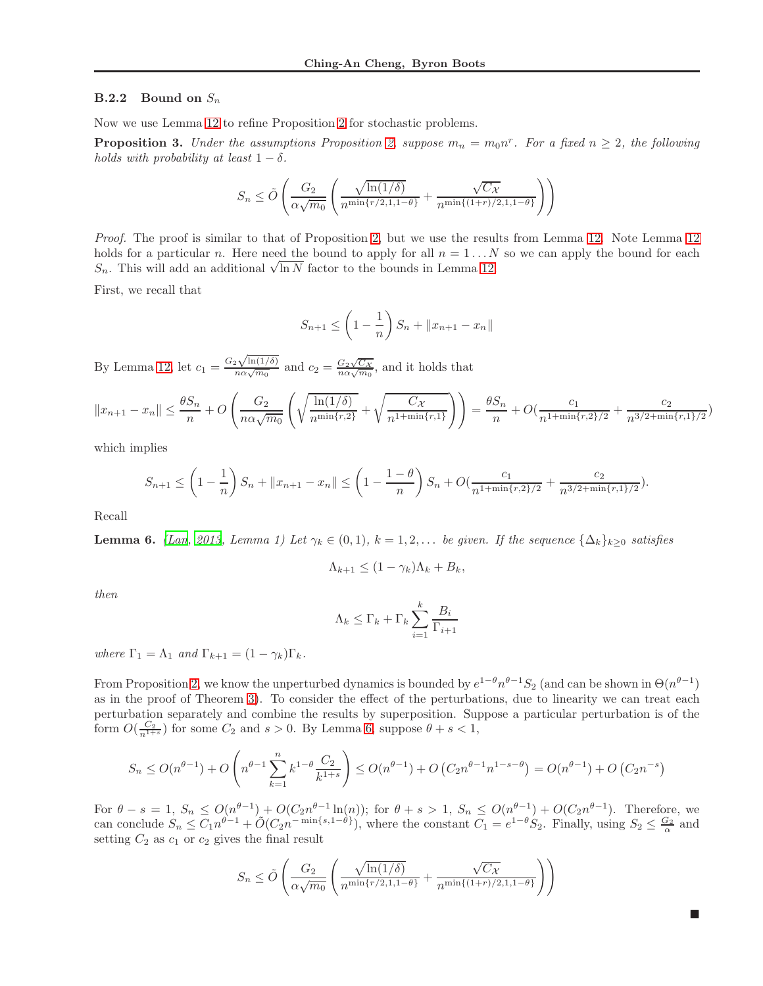#### **B.2.2** Bound on  $S_n$

Now we use Lemma [12](#page-16-1) to refine Proposition [2](#page-5-1) for stochastic problems.

<span id="page-18-0"></span>**Proposition 3.** Under the assumptions Proposition [2,](#page-5-1) suppose  $m_n = m_0 n^r$ . For a fixed  $n \geq 2$ , the following holds with probability at least  $1 - \delta$ .

$$
S_n \le \tilde{O}\left(\frac{G_2}{\alpha\sqrt{m_0}}\left(\frac{\sqrt{\ln(1/\delta)}}{n^{\min\{r/2,1,1-\theta\}}} + \frac{\sqrt{C_{\mathcal{X}}}}{n^{\min\{(1+r)/2,1,1-\theta\}}}\right)\right)
$$

Proof. The proof is similar to that of Proposition [2,](#page-5-1) but we use the results from Lemma [12.](#page-16-1) Note Lemma [12](#page-16-1) holds for a particular n. Here need the bound to apply for all  $n = 1...N$  so we can apply the bound for each S<sub>n</sub>. This will add an additional  $\sqrt{\ln N}$  factor to the bounds in Lemma [12.](#page-16-1)

First, we recall that

$$
S_{n+1} \le \left(1 - \frac{1}{n}\right) S_n + ||x_{n+1} - x_n||
$$

By Lemma [12,](#page-16-1) let  $c_1 = \frac{G_2\sqrt{\ln(1/\delta)}}{n\alpha\sqrt{m_0}}$  and  $c_2 = \frac{G_2\sqrt{C_X}}{n\alpha\sqrt{m_0}}$ , and it holds that

$$
||x_{n+1} - x_n|| \le \frac{\theta S_n}{n} + O\left(\frac{G_2}{n\alpha\sqrt{m_0}} \left(\sqrt{\frac{\ln(1/\delta)}{n^{\min\{r,2\}}}} + \sqrt{\frac{C_X}{n^{1+\min\{r,1\}}}}\right)\right) = \frac{\theta S_n}{n} + O\left(\frac{c_1}{n^{1+\min\{r,2\}/2}} + \frac{c_2}{n^{3/2+\min\{r,1\}/2}}\right)
$$

which implies

$$
S_{n+1} \le \left(1 - \frac{1}{n}\right)S_n + \|x_{n+1} - x_n\| \le \left(1 - \frac{1 - \theta}{n}\right)S_n + O\left(\frac{c_1}{n^{1 + \min\{r, 2\}/2}} + \frac{c_2}{n^{3/2 + \min\{r, 1\}/2}}\right).
$$

Recall

**Lemma 6.** [\(Lan, 2013](#page-8-22), Lemma 1) Let  $\gamma_k \in (0,1)$ ,  $k = 1,2,...$  be given. If the sequence  $\{\Delta_k\}_{k \geq 0}$  satisfies

$$
\Lambda_{k+1} \leq (1 - \gamma_k)\Lambda_k + B_k,
$$

then

$$
\Lambda_k \leq \Gamma_k + \Gamma_k \sum_{i=1}^k \frac{B_i}{\Gamma_{i+1}}
$$

where  $\Gamma_1 = \Lambda_1$  and  $\Gamma_{k+1} = (1 - \gamma_k) \Gamma_k$ .

From Proposition [2,](#page-5-1) we know the unperturbed dynamics is bounded by  $e^{1-\theta}n^{\theta-1}S_2$  (and can be shown in  $\Theta(n^{\theta-1})$ as in the proof of Theorem [3\)](#page-4-7). To consider the effect of the perturbations, due to linearity we can treat each perturbation separately and combine the results by superposition. Suppose a particular perturbation is of the form  $O(\frac{C_2}{n^{1+s}})$  for some  $C_2$  and  $s > 0$ . By Lemma [6,](#page-11-0) suppose  $\theta + s < 1$ ,

$$
S_n \le O(n^{\theta-1}) + O\left(n^{\theta-1} \sum_{k=1}^n k^{1-\theta} \frac{C_2}{k^{1+s}}\right) \le O(n^{\theta-1}) + O\left(C_2 n^{\theta-1} n^{1-s-\theta}\right) = O(n^{\theta-1}) + O\left(C_2 n^{-s}\right)
$$

For  $\theta - s = 1$ ,  $S_n \leq O(n^{\theta-1}) + O(C_2 n^{\theta-1} \ln(n))$ ; for  $\theta + s > 1$ ,  $S_n \leq O(n^{\theta-1}) + O(C_2 n^{\theta-1})$ . Therefore, we can conclude  $S_n \n\t\le C_1 n^{\theta-1} + \tilde{O}(C_2 n^{-\min\{s,1-\theta\}})$ , where the constant  $C_1 = e^{1-\theta} S_2$ . Finally, using  $S_2 \n\t\le \frac{G_2}{\alpha}$  and setting  $C_2$  as  $c_1$  or  $c_2$  gives the final result

$$
S_n \le \tilde{O}\left(\frac{G_2}{\alpha\sqrt{m_0}}\left(\frac{\sqrt{\ln(1/\delta)}}{n^{\min\{r/2,1,1-\theta\}}} + \frac{\sqrt{C_{\mathcal{X}}}}{n^{\min\{(1+r)/2,1,1-\theta\}}}\right)\right)
$$

 $\blacksquare$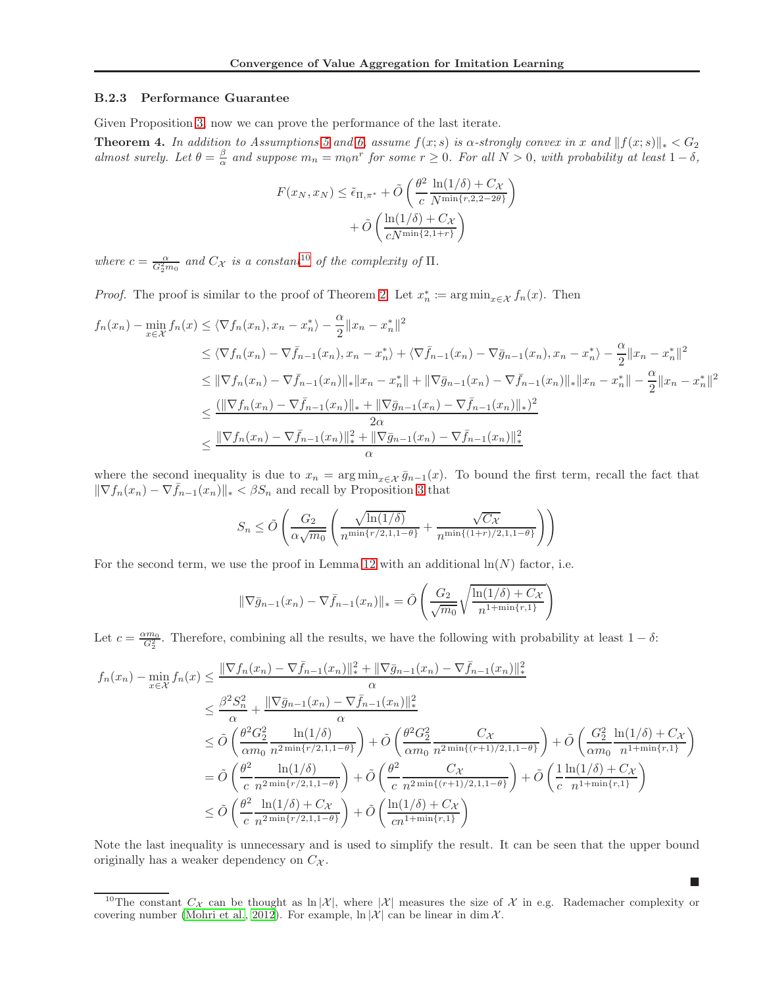#### B.2.3 Performance Guarantee

Given Proposition [3,](#page-18-0) now we can prove the performance of the last iterate.

**Theorem 4.** In addition to Assumptions [5](#page-4-1) and [6,](#page-4-2) assume  $f(x; s)$  is  $\alpha$ -strongly convex in x and  $||f(x; s)||_* < G_2$ almost surely. Let  $\theta = \frac{\beta}{\alpha}$  and suppose  $m_n = m_0 n^r$  for some  $r \ge 0$ . For all  $N > 0$ , with probability at least  $1 - \delta$ ,

$$
F(x_N, x_N) \leq \tilde{\epsilon}_{\Pi, \pi^*} + \tilde{O}\left(\frac{\theta^2}{c} \frac{\ln(1/\delta) + C_{\mathcal{X}}}{N^{\min\{r, 2, 2 - 2\theta\}}}\right) + \tilde{O}\left(\frac{\ln(1/\delta) + C_{\mathcal{X}}}{cN^{\min\{2, 1 + r\}}}\right)
$$

where  $c = \frac{\alpha}{G_2^2 m_0}$  and  $C_{\mathcal{X}}$  is a constant<sup>[10](#page-19-0)</sup> of the complexity of  $\Pi$ .

*Proof.* The proof is similar to the proof of Theorem [2.](#page-4-3) Let  $x_n^* := \arg \min_{x \in \mathcal{X}} f_n(x)$ . Then

$$
f_n(x_n) - \min_{x \in \mathcal{X}} f_n(x) \le \langle \nabla f_n(x_n), x_n - x_n^* \rangle - \frac{\alpha}{2} \|x_n - x_n^*\|^2
$$
  
\n
$$
\le \langle \nabla f_n(x_n) - \nabla \bar{f}_{n-1}(x_n), x_n - x_n^* \rangle + \langle \nabla \bar{f}_{n-1}(x_n) - \nabla \bar{g}_{n-1}(x_n), x_n - x_n^* \rangle - \frac{\alpha}{2} \|x_n - x_n^*\|^2
$$
  
\n
$$
\le \|\nabla f_n(x_n) - \nabla \bar{f}_{n-1}(x_n)\|_{*} \|x_n - x_n^*\| + \|\nabla \bar{g}_{n-1}(x_n) - \nabla \bar{f}_{n-1}(x_n)\|_{*} \|x_n - x_n^*\| - \frac{\alpha}{2} \|x_n - x_n^*\|^2
$$
  
\n
$$
\le \frac{(\|\nabla f_n(x_n) - \nabla \bar{f}_{n-1}(x_n)\|_{*} + \|\nabla \bar{g}_{n-1}(x_n) - \nabla \bar{f}_{n-1}(x_n)\|_{*})^2}{2\alpha}
$$
  
\n
$$
\le \frac{\|\nabla f_n(x_n) - \nabla \bar{f}_{n-1}(x_n)\|_{*}^2 + \|\nabla \bar{g}_{n-1}(x_n) - \nabla \bar{f}_{n-1}(x_n)\|_{*}^2}{\alpha}
$$

where the second inequality is due to  $x_n = \arg \min_{x \in \mathcal{X}} \bar{g}_{n-1}(x)$ . To bound the first term, recall the fact that  $\|\nabla f_n(x_n) - \nabla \bar{f}_{n-1}(x_n)\|_{*} < \beta S_n$  and recall by Proposition [3](#page-18-0) that

$$
S_n \le \tilde{O}\left(\frac{G_2}{\alpha\sqrt{m_0}}\left(\frac{\sqrt{\ln(1/\delta)}}{n^{\min\{r/2,1,1-\theta\}}} + \frac{\sqrt{C_{\mathcal{X}}}}{n^{\min\{(1+r)/2,1,1-\theta\}}}\right)\right)
$$

For the second term, we use the proof in Lemma [12](#page-16-1) with an additional  $\ln(N)$  factor, i.e.

$$
\|\nabla \bar{g}_{n-1}(x_n) - \nabla \bar{f}_{n-1}(x_n)\|_{*} = \tilde{O}\left(\frac{G_2}{\sqrt{m_0}} \sqrt{\frac{\ln(1/\delta) + C_{\mathcal{X}}}{n^{1 + \min\{r, 1\}}}}\right)
$$

Let  $c = \frac{\alpha m_0}{G_2^2}$ . Therefore, combining all the results, we have the following with probability at least  $1 - \delta$ :

$$
f_n(x_n) - \min_{x \in \mathcal{X}} f_n(x) \le \frac{\|\nabla f_n(x_n) - \nabla \bar{f}_{n-1}(x_n)\|_{*}^2 + \|\nabla \bar{g}_{n-1}(x_n) - \nabla \bar{f}_{n-1}(x_n)\|_{*}^2}{\alpha}
$$
  
\n
$$
\le \frac{\beta^2 S_n^2}{\alpha} + \frac{\|\nabla \bar{g}_{n-1}(x_n) - \nabla \bar{f}_{n-1}(x_n)\|_{*}^2}{\alpha}
$$
  
\n
$$
\le \tilde{O}\left(\frac{\theta^2 G_2^2}{\alpha m_0} \frac{\ln(1/\delta)}{n^{2\min\{r/2, 1, 1-\theta\}}}\right) + \tilde{O}\left(\frac{\theta^2 G_2^2}{\alpha m_0} \frac{C_X}{n^{2\min\{(r+1)/2, 1, 1-\theta\}}}\right) + \tilde{O}\left(\frac{G_2^2}{\alpha m_0} \frac{\ln(1/\delta) + C_X}{n^{1+\min\{r, 1\}}}\right)
$$
  
\n
$$
= \tilde{O}\left(\frac{\theta^2}{c} \frac{\ln(1/\delta)}{n^{2\min\{r/2, 1, 1-\theta\}}}\right) + \tilde{O}\left(\frac{\theta^2}{c} \frac{C_X}{n^{2\min\{(r+1)/2, 1, 1-\theta\}}}\right) + \tilde{O}\left(\frac{1}{c} \frac{\ln(1/\delta) + C_X}{n^{1+\min\{r, 1\}}}\right)
$$
  
\n
$$
\le \tilde{O}\left(\frac{\theta^2}{c} \frac{\ln(1/\delta) + C_X}{n^{2\min\{r/2, 1, 1-\theta\}}}\right) + \tilde{O}\left(\frac{\ln(1/\delta) + C_X}{c n^{1+\min\{r, 1\}}}\right)
$$

Note the last inequality is unnecessary and is used to simplify the result. It can be seen that the upper bound originally has a weaker dependency on  $C_{\mathcal{X}}$ .

 $\blacksquare$ 

<span id="page-19-0"></span><sup>&</sup>lt;sup>10</sup>The constant  $C_{\mathcal{X}}$  can be thought as  $\ln |\mathcal{X}|$ , where  $|\mathcal{X}|$  measures the size of X in e.g. Rademacher complexity or covering number [\(Mohri et al., 2012\)](#page-8-18). For example,  $\ln |\mathcal{X}|$  can be linear in dim X.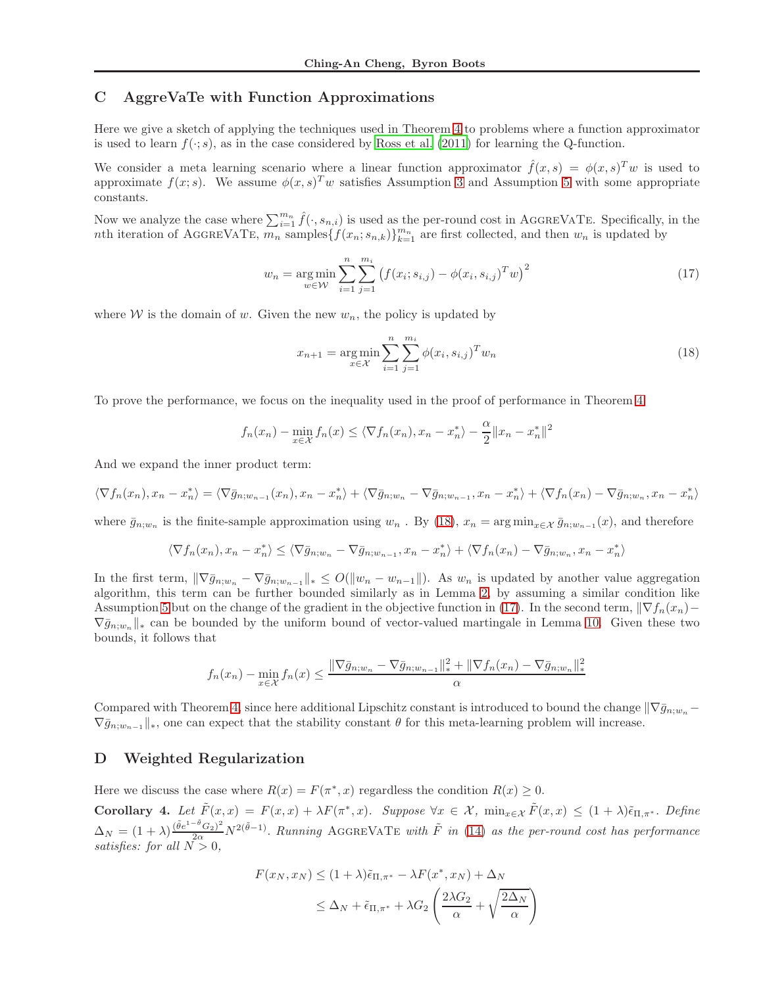## <span id="page-20-0"></span>C AggreVaTe with Function Approximations

Here we give a sketch of applying the techniques used in Theorem [4](#page-6-2) to problems where a function approximator is used to learn  $f(\cdot; s)$ , as in the case considered by [Ross et al. \(2011\)](#page-8-5) for learning the Q-function.

We consider a meta learning scenario where a linear function approximator  $\hat{f}(x, s) = \phi(x, s)^T w$  is used to approximate  $f(x; s)$ . We assume  $\phi(x, s)^{T} w$  satisfies Assumption [3](#page-3-4) and Assumption [5](#page-4-1) with some appropriate constants.

Now we analyze the case where  $\sum_{i=1}^{m_n} \hat{f}(\cdot, s_{n,i})$  is used as the per-round cost in AGGREVATE. Specifically, in the nth iteration of AGGREVATE,  $\overline{m_n}$  samples  $\{f(x_n; s_{n,k})\}_{k=1}^{m_n}$  are first collected, and then  $w_n$  is updated by

$$
w_n = \underset{w \in \mathcal{W}}{\arg \min} \sum_{i=1}^n \sum_{j=1}^{m_i} \left( f(x_i; s_{i,j}) - \phi(x_i, s_{i,j})^T w \right)^2 \tag{17}
$$

where W is the domain of w. Given the new  $w_n$ , the policy is updated by

<span id="page-20-3"></span><span id="page-20-2"></span>
$$
x_{n+1} = \underset{x \in \mathcal{X}}{\arg \min} \sum_{i=1}^{n} \sum_{j=1}^{m_i} \phi(x_i, s_{i,j})^T w_n \tag{18}
$$

To prove the performance, we focus on the inequality used in the proof of performance in Theorem [4.](#page-6-2)

$$
f_n(x_n) - \min_{x \in \mathcal{X}} f_n(x) \le \langle \nabla f_n(x_n), x_n - x_n^* \rangle - \frac{\alpha}{2} ||x_n - x_n^*||^2
$$

And we expand the inner product term:

$$
\langle \nabla f_n(x_n), x_n - x_n^* \rangle = \langle \nabla \bar{g}_{n;w_{n-1}}(x_n), x_n - x_n^* \rangle + \langle \nabla \bar{g}_{n;w_n} - \nabla \bar{g}_{n;w_{n-1}}, x_n - x_n^* \rangle + \langle \nabla f_n(x_n) - \nabla \bar{g}_{n;w_n}, x_n - x_n^* \rangle
$$

where  $\bar{g}_{n;w_n}$  is the finite-sample approximation using  $w_n$ . By [\(18\)](#page-20-2),  $x_n = \arg \min_{x \in \mathcal{X}} \bar{g}_{n;w_{n-1}}(x)$ , and therefore

$$
\langle \nabla f_n(x_n), x_n - x_n^* \rangle \le \langle \nabla \bar{g}_{n;w_n} - \nabla \bar{g}_{n;w_{n-1}}, x_n - x_n^* \rangle + \langle \nabla f_n(x_n) - \nabla \bar{g}_{n;w_n}, x_n - x_n^* \rangle
$$

In the first term,  $\|\nabla \bar{g}_{n;w_n} - \nabla \bar{g}_{n;w_{n-1}}\|_* \leq O(\|w_n - w_{n-1}\|)$ . As  $w_n$  is updated by another value aggregation algorithm, this term can be further bounded similarly as in Lemma [2,](#page-5-0) by assuming a similar condition like Assumption [5](#page-4-1) but on the change of the gradient in the objective function in [\(17\)](#page-20-3). In the second term,  $\|\nabla f_n(x_n) \nabla \bar{g}_{n:w_n}$ <sup>\*</sup> can be bounded by the uniform bound of vector-valued martingale in Lemma [10.](#page-15-1) Given these two bounds, it follows that

$$
f_n(x_n) - \min_{x \in \mathcal{X}} f_n(x) \le \frac{\|\nabla \bar{g}_{n;w_n} - \nabla \bar{g}_{n;w_{n-1}}\|_{*}^{2} + \|\nabla f_n(x_n) - \nabla \bar{g}_{n;w_n}\|_{*}^{2}}{\alpha}
$$

Compared with Theorem [4,](#page-6-2) since here additional Lipschitz constant is introduced to bound the change  $\|\nabla \bar{g}_{n,w} \nabla \bar{g}_{n:w_{n-1}}\|_{*}$ , one can expect that the stability constant  $\theta$  for this meta-learning problem will increase.

### <span id="page-20-1"></span>D Weighted Regularization

Here we discuss the case where  $R(x) = F(\pi^*, x)$  regardless the condition  $R(x) \geq 0$ .

<span id="page-20-4"></span>Corollary 4. Let  $\tilde{F}(x,x) = F(x,x) + \lambda F(\pi^*,x)$ . Suppose  $\forall x \in \mathcal{X}$ ,  $\min_{x \in \mathcal{X}} \tilde{F}(x,x) \leq (1+\lambda)\tilde{\epsilon}_{\Pi,\pi^*}$ . Define  $\Delta_N = (1+\lambda)\frac{(\tilde{\theta}e^{1-\tilde{\theta}}G_2)^2}{2\alpha}N^{2(\tilde{\theta}-1)}$ . Running AGGREVATE with  $\tilde{F}$  in [\(14\)](#page-7-5) as the per-round cost has performance satisfies: for all  $N > 0$ ,

$$
F(x_N, x_N) \le (1 + \lambda)\tilde{\epsilon}_{\Pi, \pi^*} - \lambda F(x^*, x_N) + \Delta_N
$$
  

$$
\le \Delta_N + \tilde{\epsilon}_{\Pi, \pi^*} + \lambda G_2 \left(\frac{2\lambda G_2}{\alpha} + \sqrt{\frac{2\Delta_N}{\alpha}}\right)
$$